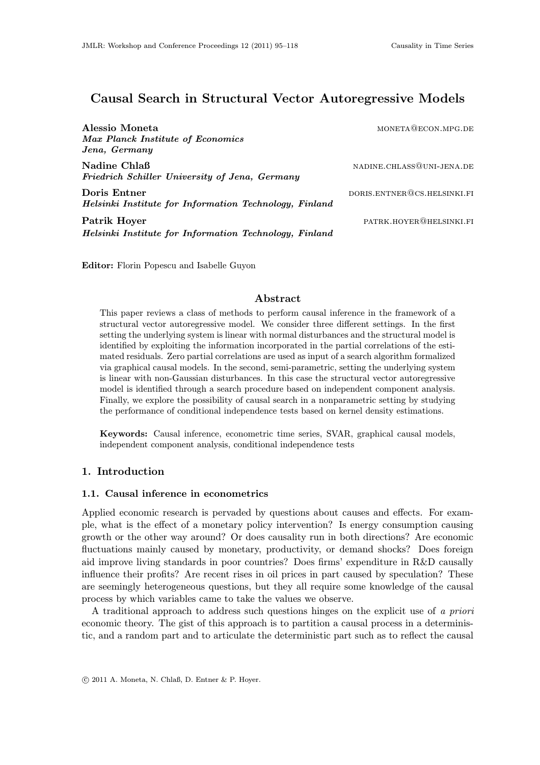# Causal Search in Structural Vector Autoregressive Models

| Alessio Moneta                                         | MONETA@ECON.MPG.DE          |
|--------------------------------------------------------|-----------------------------|
| Max Planck Institute of Economics                      |                             |
| Jena, Germany                                          |                             |
| Nadine Chlaß                                           | NADINE.CHLASS@UNI-JENA.DE   |
| Friedrich Schiller University of Jena, Germany         |                             |
| Doris Entner                                           | DORIS.ENTNER@CS.HELSINKI.FI |
| Helsinki Institute for Information Technology, Finland |                             |
| Patrik Hoyer                                           | PATRK.HOYER@HELSINKI.FI     |
| Helsinki Institute for Information Technology, Finland |                             |

Editor: Florin Popescu and Isabelle Guyon

### Abstract

This paper reviews a class of methods to perform causal inference in the framework of a structural vector autoregressive model. We consider three different settings. In the first setting the underlying system is linear with normal disturbances and the structural model is identified by exploiting the information incorporated in the partial correlations of the estimated residuals. Zero partial correlations are used as input of a search algorithm formalized via graphical causal models. In the second, semi-parametric, setting the underlying system is linear with non-Gaussian disturbances. In this case the structural vector autoregressive model is identified through a search procedure based on independent component analysis. Finally, we explore the possibility of causal search in a nonparametric setting by studying the performance of conditional independence tests based on kernel density estimations.

Keywords: Causal inference, econometric time series, SVAR, graphical causal models, independent component analysis, conditional independence tests

# 1. Introduction

## 1.1. Causal inference in econometrics

Applied economic research is pervaded by questions about causes and effects. For example, what is the effect of a monetary policy intervention? Is energy consumption causing growth or the other way around? Or does causality run in both directions? Are economic fluctuations mainly caused by monetary, productivity, or demand shocks? Does foreign aid improve living standards in poor countries? Does firms' expenditure in R&D causally influence their profits? Are recent rises in oil prices in part caused by speculation? These are seemingly heterogeneous questions, but they all require some knowledge of the causal process by which variables came to take the values we observe.

A traditional approach to address such questions hinges on the explicit use of a priori economic theory. The gist of this approach is to partition a causal process in a deterministic, and a random part and to articulate the deterministic part such as to reflect the causal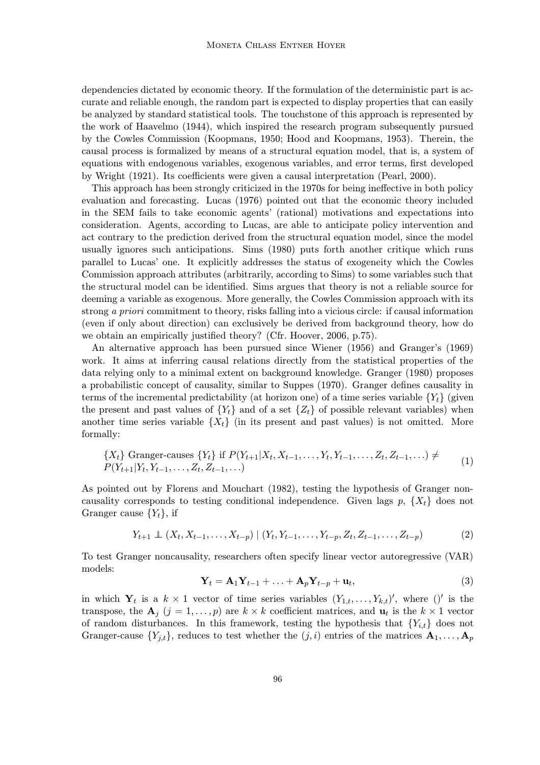dependencies dictated by economic theory. If the formulation of the deterministic part is accurate and reliable enough, the random part is expected to display properties that can easily be analyzed by standard statistical tools. The touchstone of this approach is represented by the work of Haavelmo (1944), which inspired the research program subsequently pursued by the Cowles Commission (Koopmans, 1950; Hood and Koopmans, 1953). Therein, the causal process is formalized by means of a structural equation model, that is, a system of equations with endogenous variables, exogenous variables, and error terms, first developed by Wright (1921). Its coefficients were given a causal interpretation (Pearl, 2000).

This approach has been strongly criticized in the 1970s for being ineffective in both policy evaluation and forecasting. Lucas (1976) pointed out that the economic theory included in the SEM fails to take economic agents' (rational) motivations and expectations into consideration. Agents, according to Lucas, are able to anticipate policy intervention and act contrary to the prediction derived from the structural equation model, since the model usually ignores such anticipations. Sims (1980) puts forth another critique which runs parallel to Lucas' one. It explicitly addresses the status of exogeneity which the Cowles Commission approach attributes (arbitrarily, according to Sims) to some variables such that the structural model can be identified. Sims argues that theory is not a reliable source for deeming a variable as exogenous. More generally, the Cowles Commission approach with its strong a priori commitment to theory, risks falling into a vicious circle: if causal information (even if only about direction) can exclusively be derived from background theory, how do we obtain an empirically justified theory? (Cfr. Hoover, 2006, p.75).

An alternative approach has been pursued since Wiener (1956) and Granger's (1969) work. It aims at inferring causal relations directly from the statistical properties of the data relying only to a minimal extent on background knowledge. Granger (1980) proposes a probabilistic concept of causality, similar to Suppes (1970). Granger defines causality in terms of the incremental predictability (at horizon one) of a time series variable  ${Y<sub>t</sub>}$  (given the present and past values of  ${Y_t}$  and of a set  ${Z_t}$  of possible relevant variables) when another time series variable  $\{X_t\}$  (in its present and past values) is not omitted. More formally:

$$
\{X_t\} \text{ Granger-causes } \{Y_t\} \text{ if } P(Y_{t+1}|X_t, X_{t-1}, \dots, Y_t, Y_{t-1}, \dots, Z_t, Z_{t-1}, \dots) \neq P(Y_{t+1}|Y_t, Y_{t-1}, \dots, Z_t, Z_{t-1}, \dots) \tag{1}
$$

As pointed out by Florens and Mouchart (1982), testing the hypothesis of Granger noncausality corresponds to testing conditional independence. Given lags  $p, \{X_t\}$  does not Granger cause  $\{Y_t\}$ , if

$$
Y_{t+1} \perp (X_t, X_{t-1}, \dots, X_{t-p}) \mid (Y_t, Y_{t-1}, \dots, Y_{t-p}, Z_t, Z_{t-1}, \dots, Z_{t-p}) \tag{2}
$$

To test Granger noncausality, researchers often specify linear vector autoregressive (VAR) models:

$$
\mathbf{Y}_t = \mathbf{A}_1 \mathbf{Y}_{t-1} + \ldots + \mathbf{A}_p \mathbf{Y}_{t-p} + \mathbf{u}_t,\tag{3}
$$

in which  $Y_t$  is a  $k \times 1$  vector of time series variables  $(Y_{1,t},...,Y_{k,t})'$ , where ()' is the transpose, the  $A_j$   $(j = 1, ..., p)$  are  $k \times k$  coefficient matrices, and  $u_t$  is the  $k \times 1$  vector of random disturbances. In this framework, testing the hypothesis that  ${Y_{i,t}}$  does not Granger-cause  $\{Y_{j,t}\}\$ , reduces to test whether the  $(j,i)$  entries of the matrices  $\mathbf{A}_1, \ldots, \mathbf{A}_p$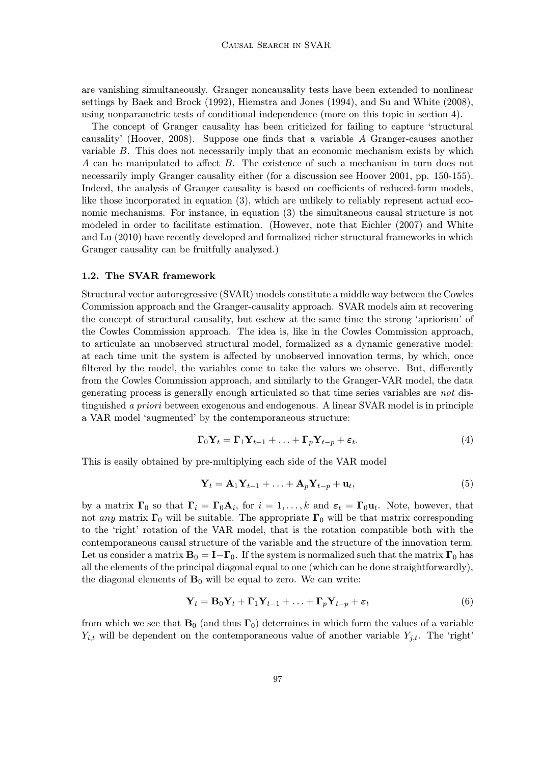are vanishing simultaneously. Granger noncausality tests have been extended to nonlinear settings by Baek and Brock (1992), Hiemstra and Jones (1994), and Su and White (2008), using nonparametric tests of conditional independence (more on this topic in section 4).

The concept of Granger causality has been criticized for failing to capture 'structural causality' (Hoover, 2008). Suppose one finds that a variable A Granger-causes another variable B. This does not necessarily imply that an economic mechanism exists by which A can be manipulated to affect B. The existence of such a mechanism in turn does not necessarily imply Granger causality either (for a discussion see Hoover 2001, pp. 150-155). Indeed, the analysis of Granger causality is based on coefficients of reduced-form models, like those incorporated in equation (3), which are unlikely to reliably represent actual economic mechanisms. For instance, in equation (3) the simultaneous causal structure is not modeled in order to facilitate estimation. (However, note that Eichler (2007) and White and Lu (2010) have recently developed and formalized richer structural frameworks in which Granger causality can be fruitfully analyzed.)

#### 1.2. The SVAR framework

Structural vector autoregressive (SVAR) models constitute a middle way between the Cowles Commission approach and the Granger-causality approach. SVAR models aim at recovering the concept of structural causality, but eschew at the same time the strong 'apriorism' of the Cowles Commission approach. The idea is, like in the Cowles Commission approach, to articulate an unobserved structural model, formalized as a dynamic generative model: at each time unit the system is affected by unobserved innovation terms, by which, once filtered by the model, the variables come to take the values we observe. But, differently from the Cowles Commission approach, and similarly to the Granger-VAR model, the data generating process is generally enough articulated so that time series variables are not distinguished a priori between exogenous and endogenous. A linear SVAR model is in principle a VAR model 'augmented' by the contemporaneous structure:

$$
\mathbf{\Gamma}_0 \mathbf{Y}_t = \mathbf{\Gamma}_1 \mathbf{Y}_{t-1} + \ldots + \mathbf{\Gamma}_p \mathbf{Y}_{t-p} + \varepsilon_t.
$$
 (4)

This is easily obtained by pre-multiplying each side of the VAR model

$$
\mathbf{Y}_t = \mathbf{A}_1 \mathbf{Y}_{t-1} + \ldots + \mathbf{A}_p \mathbf{Y}_{t-p} + \mathbf{u}_t, \tag{5}
$$

by a matrix  $\Gamma_0$  so that  $\Gamma_i = \Gamma_0 \mathbf{A}_i$ , for  $i = 1, ..., k$  and  $\varepsilon_t = \Gamma_0 \mathbf{u}_t$ . Note, however, that not any matrix  $\Gamma_0$  will be suitable. The appropriate  $\Gamma_0$  will be that matrix corresponding to the 'right' rotation of the VAR model, that is the rotation compatible both with the contemporaneous causal structure of the variable and the structure of the innovation term. Let us consider a matrix  $B_0 = I - \Gamma_0$ . If the system is normalized such that the matrix  $\Gamma_0$  has all the elements of the principal diagonal equal to one (which can be done straightforwardly), the diagonal elements of  $B_0$  will be equal to zero. We can write:

$$
\mathbf{Y}_t = \mathbf{B}_0 \mathbf{Y}_t + \mathbf{\Gamma}_1 \mathbf{Y}_{t-1} + \ldots + \mathbf{\Gamma}_p \mathbf{Y}_{t-p} + \boldsymbol{\varepsilon}_t \tag{6}
$$

from which we see that  $\mathbf{B}_0$  (and thus  $\mathbf{\Gamma}_0$ ) determines in which form the values of a variable  $Y_{i,t}$  will be dependent on the contemporaneous value of another variable  $Y_{j,t}$ . The 'right'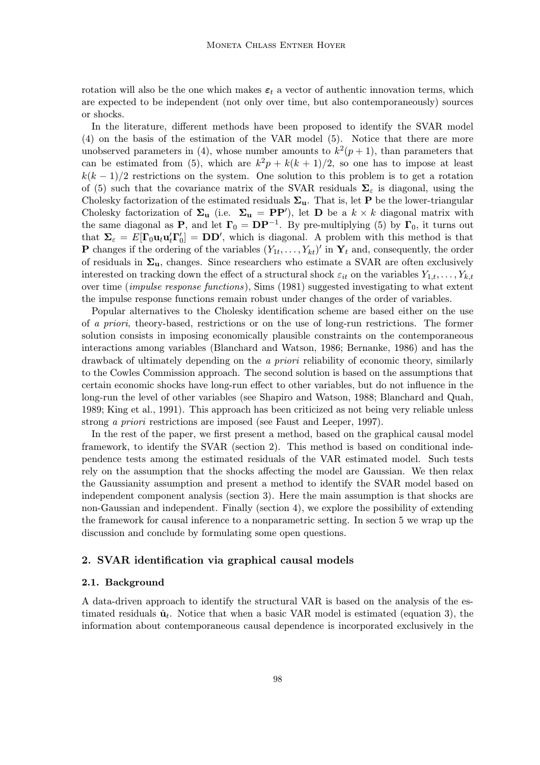rotation will also be the one which makes  $\varepsilon_t$  a vector of authentic innovation terms, which are expected to be independent (not only over time, but also contemporaneously) sources or shocks.

In the literature, different methods have been proposed to identify the SVAR model (4) on the basis of the estimation of the VAR model (5). Notice that there are more unobserved parameters in (4), whose number amounts to  $k^2(p+1)$ , than parameters that can be estimated from (5), which are  $k^2p + k(k+1)/2$ , so one has to impose at least  $k(k-1)/2$  restrictions on the system. One solution to this problem is to get a rotation of (5) such that the covariance matrix of the SVAR residuals  $\Sigma_{\varepsilon}$  is diagonal, using the Cholesky factorization of the estimated residuals  $\Sigma_{\mathbf{u}}$ . That is, let **P** be the lower-triangular Cholesky factorization of  $\Sigma_{\bf u}$  (i.e.  $\Sigma_{\bf u} = {\bf P} {\bf P}'$ ), let **D** be a  $k \times k$  diagonal matrix with the same diagonal as **P**, and let  $\Gamma_0 = \mathbf{DP}^{-1}$ . By pre-multiplying (5) by  $\Gamma_0$ , it turns out that  $\Sigma_{\varepsilon} = E[\Gamma_0 \mathbf{u}_t \mathbf{u}_t' \Gamma_0'] = \mathbf{D} \mathbf{D}'$ , which is diagonal. A problem with this method is that **P** changes if the ordering of the variables  $(Y_{1t}, \ldots, Y_{kt})'$  in  $\mathbf{Y}_t$  and, consequently, the order of residuals in  $\Sigma_{u}$ , changes. Since researchers who estimate a SVAR are often exclusively interested on tracking down the effect of a structural shock  $\varepsilon_{it}$  on the variables  $Y_{1,t}, \ldots, Y_{k,t}$ over time (impulse response functions), Sims (1981) suggested investigating to what extent the impulse response functions remain robust under changes of the order of variables.

Popular alternatives to the Cholesky identification scheme are based either on the use of a priori, theory-based, restrictions or on the use of long-run restrictions. The former solution consists in imposing economically plausible constraints on the contemporaneous interactions among variables (Blanchard and Watson, 1986; Bernanke, 1986) and has the drawback of ultimately depending on the a priori reliability of economic theory, similarly to the Cowles Commission approach. The second solution is based on the assumptions that certain economic shocks have long-run effect to other variables, but do not influence in the long-run the level of other variables (see Shapiro and Watson, 1988; Blanchard and Quah, 1989; King et al., 1991). This approach has been criticized as not being very reliable unless strong a priori restrictions are imposed (see Faust and Leeper, 1997).

In the rest of the paper, we first present a method, based on the graphical causal model framework, to identify the SVAR (section 2). This method is based on conditional independence tests among the estimated residuals of the VAR estimated model. Such tests rely on the assumption that the shocks affecting the model are Gaussian. We then relax the Gaussianity assumption and present a method to identify the SVAR model based on independent component analysis (section 3). Here the main assumption is that shocks are non-Gaussian and independent. Finally (section 4), we explore the possibility of extending the framework for causal inference to a nonparametric setting. In section 5 we wrap up the discussion and conclude by formulating some open questions.

# 2. SVAR identification via graphical causal models

#### 2.1. Background

A data-driven approach to identify the structural VAR is based on the analysis of the estimated residuals  $\hat{\mathbf{u}}_t$ . Notice that when a basic VAR model is estimated (equation 3), the information about contemporaneous causal dependence is incorporated exclusively in the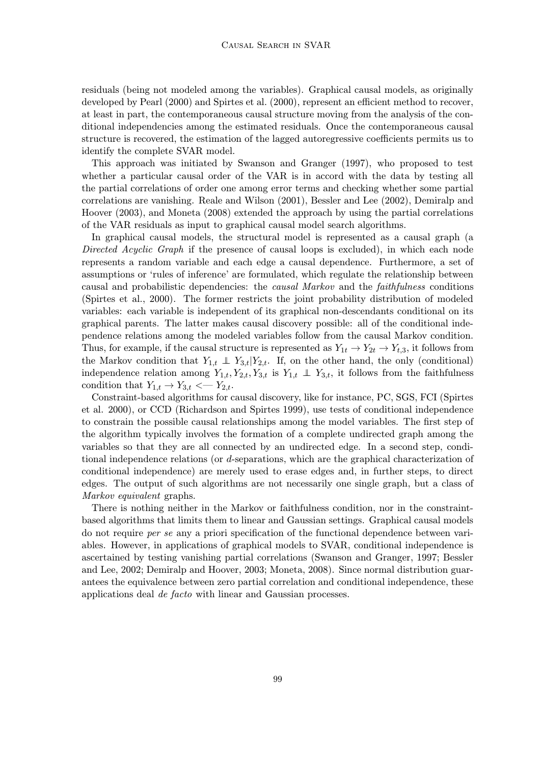residuals (being not modeled among the variables). Graphical causal models, as originally developed by Pearl (2000) and Spirtes et al. (2000), represent an efficient method to recover, at least in part, the contemporaneous causal structure moving from the analysis of the conditional independencies among the estimated residuals. Once the contemporaneous causal structure is recovered, the estimation of the lagged autoregressive coefficients permits us to identify the complete SVAR model.

This approach was initiated by Swanson and Granger (1997), who proposed to test whether a particular causal order of the VAR is in accord with the data by testing all the partial correlations of order one among error terms and checking whether some partial correlations are vanishing. Reale and Wilson (2001), Bessler and Lee (2002), Demiralp and Hoover (2003), and Moneta (2008) extended the approach by using the partial correlations of the VAR residuals as input to graphical causal model search algorithms.

In graphical causal models, the structural model is represented as a causal graph (a Directed Acyclic Graph if the presence of causal loops is excluded), in which each node represents a random variable and each edge a causal dependence. Furthermore, a set of assumptions or 'rules of inference' are formulated, which regulate the relationship between causal and probabilistic dependencies: the causal Markov and the faithfulness conditions (Spirtes et al., 2000). The former restricts the joint probability distribution of modeled variables: each variable is independent of its graphical non-descendants conditional on its graphical parents. The latter makes causal discovery possible: all of the conditional independence relations among the modeled variables follow from the causal Markov condition. Thus, for example, if the causal structure is represented as  $Y_{1t} \rightarrow Y_{2t} \rightarrow Y_{t,3}$ , it follows from the Markov condition that  $Y_{1,t} \perp Y_{3,t}|Y_{2,t}$ . If, on the other hand, the only (conditional) independence relation among  $Y_{1,t}, Y_{2,t}, Y_{3,t}$  is  $Y_{1,t} \perp Y_{3,t}$ , it follows from the faithfulness condition that  $Y_{1,t} \rightarrow Y_{3,t} \leftarrow Y_{2,t}$ .

Constraint-based algorithms for causal discovery, like for instance, PC, SGS, FCI (Spirtes et al. 2000), or CCD (Richardson and Spirtes 1999), use tests of conditional independence to constrain the possible causal relationships among the model variables. The first step of the algorithm typically involves the formation of a complete undirected graph among the variables so that they are all connected by an undirected edge. In a second step, conditional independence relations (or d-separations, which are the graphical characterization of conditional independence) are merely used to erase edges and, in further steps, to direct edges. The output of such algorithms are not necessarily one single graph, but a class of Markov equivalent graphs.

There is nothing neither in the Markov or faithfulness condition, nor in the constraintbased algorithms that limits them to linear and Gaussian settings. Graphical causal models do not require per se any a priori specification of the functional dependence between variables. However, in applications of graphical models to SVAR, conditional independence is ascertained by testing vanishing partial correlations (Swanson and Granger, 1997; Bessler and Lee, 2002; Demiralp and Hoover, 2003; Moneta, 2008). Since normal distribution guarantees the equivalence between zero partial correlation and conditional independence, these applications deal de facto with linear and Gaussian processes.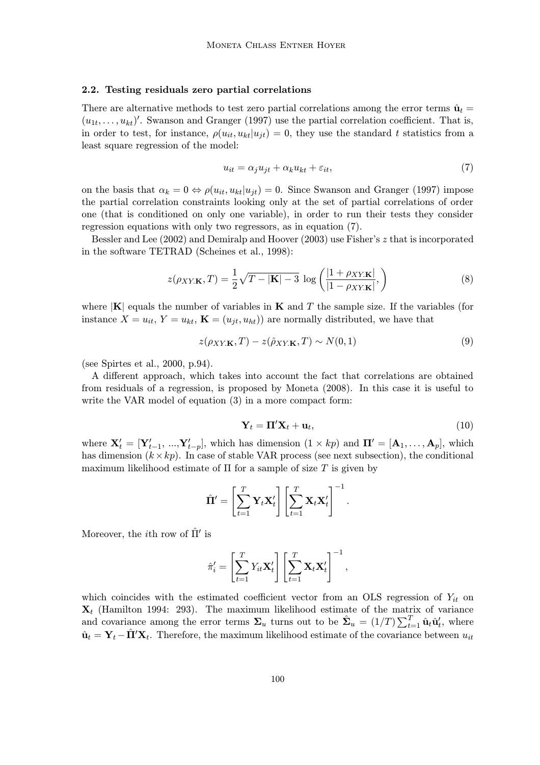#### 2.2. Testing residuals zero partial correlations

There are alternative methods to test zero partial correlations among the error terms  $\hat{u}_t$  $(u_{1t},\ldots,u_{kt})'$ . Swanson and Granger (1997) use the partial correlation coefficient. That is, in order to test, for instance,  $\rho(u_{it}, u_{kt}|u_{it}) = 0$ , they use the standard t statistics from a least square regression of the model:

$$
u_{it} = \alpha_j u_{jt} + \alpha_k u_{kt} + \varepsilon_{it},\tag{7}
$$

on the basis that  $\alpha_k = 0 \Leftrightarrow \rho(u_{it}, u_{kt}|u_{it}) = 0$ . Since Swanson and Granger (1997) impose the partial correlation constraints looking only at the set of partial correlations of order one (that is conditioned on only one variable), in order to run their tests they consider regression equations with only two regressors, as in equation (7).

Bessler and Lee (2002) and Demiralp and Hoover (2003) use Fisher's z that is incorporated in the software TETRAD (Scheines et al., 1998):

$$
z(\rho_{XY\mathbf{K}},T) = \frac{1}{2}\sqrt{T-|\mathbf{K}|-3}\,\log\left(\frac{|1+\rho_{XY\mathbf{K}}|}{|1-\rho_{XY\mathbf{K}}|},\right) \tag{8}
$$

where  $|{\bf K}|$  equals the number of variables in  ${\bf K}$  and T the sample size. If the variables (for instance  $X = u_{it}$ ,  $Y = u_{kt}$ ,  $\mathbf{K} = (u_{jt}, u_{ht})$  are normally distributed, we have that

$$
z(\rho_{XY\mathbf{K}},T) - z(\hat{\rho}_{XY\mathbf{K}},T) \sim N(0,1)
$$
\n(9)

(see Spirtes et al., 2000, p.94).

A different approach, which takes into account the fact that correlations are obtained from residuals of a regression, is proposed by Moneta (2008). In this case it is useful to write the VAR model of equation (3) in a more compact form:

$$
\mathbf{Y}_t = \mathbf{\Pi}' \mathbf{X}_t + \mathbf{u}_t, \tag{10}
$$

where  $\mathbf{X}'_t = [\mathbf{Y}'_{t-1}, ..., \mathbf{Y}'_{t-p}]$ , which has dimension  $(1 \times kp)$  and  $\mathbf{\Pi}' = [\mathbf{A}_1, ..., \mathbf{A}_p]$ , which has dimension  $(k \times kp)$ . In case of stable VAR process (see next subsection), the conditional maximum likelihood estimate of  $\Pi$  for a sample of size  $T$  is given by

$$
\hat{\mathbf{\Pi}}' = \left[\sum_{t=1}^T \mathbf{Y}_t \mathbf{X}_t'\right] \left[\sum_{t=1}^T \mathbf{X}_t \mathbf{X}_t'\right]^{-1}.
$$

Moreover, the *i*<sup>th</sup> row of  $\hat{\Pi}'$  is

$$
\hat{\pi}'_i = \left[\sum_{t=1}^T Y_{it} \mathbf{X}'_t\right] \left[\sum_{t=1}^T \mathbf{X}_t \mathbf{X}'_t\right]^{-1},
$$

which coincides with the estimated coefficient vector from an OLS regression of  $Y_{it}$  on  $\mathbf{X}_t$  (Hamilton 1994: 293). The maximum likelihood estimate of the matrix of variance and covariance among the error terms  $\Sigma_u$  turns out to be  $\hat{\Sigma}_u = (1/T) \sum_{t=1}^T \hat{\mathbf{u}}_t \hat{\mathbf{u}}_t^t$ , where  $\hat{\mathbf{u}}_t = \mathbf{Y}_t - \hat{\mathbf{\Pi}}' \mathbf{X}_t$ . Therefore, the maximum likelihood estimate of the covariance between  $u_{it}$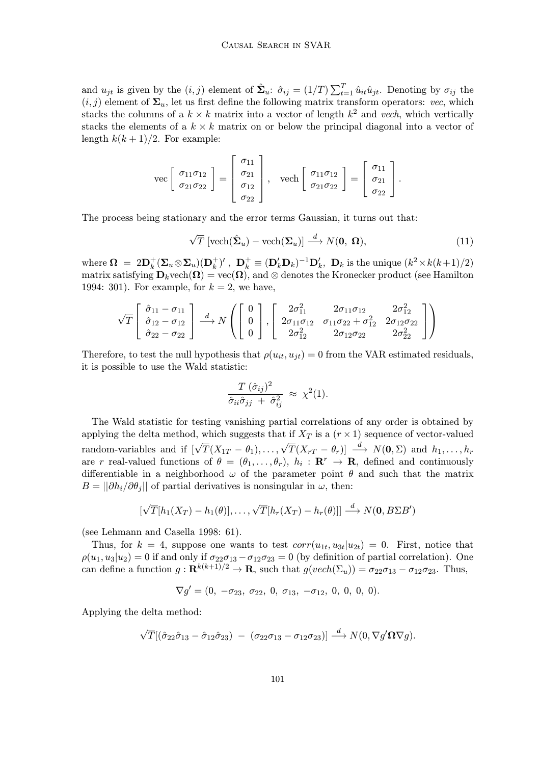and  $u_{jt}$  is given by the  $(i, j)$  element of  $\hat{\Sigma}_u$ :  $\hat{\sigma}_{ij} = (1/T) \sum_{t=1}^T \hat{u}_{it} \hat{u}_{jt}$ . Denoting by  $\sigma_{ij}$  the  $(i, j)$  element of  $\Sigma_u$ , let us first define the following matrix transform operators: vec, which stacks the columns of a  $k \times k$  matrix into a vector of length  $k^2$  and vech, which vertically stacks the elements of a  $k \times k$  matrix on or below the principal diagonal into a vector of length  $k(k+1)/2$ . For example:

$$
\text{vec}\left[\begin{array}{c} \sigma_{11}\sigma_{12} \\ \sigma_{21}\sigma_{22} \end{array}\right] = \left[\begin{array}{c} \sigma_{11} \\ \sigma_{21} \\ \sigma_{12} \\ \sigma_{22} \end{array}\right], \quad \text{vech}\left[\begin{array}{c} \sigma_{11}\sigma_{12} \\ \sigma_{21}\sigma_{22} \end{array}\right] = \left[\begin{array}{c} \sigma_{11} \\ \sigma_{21} \\ \sigma_{22} \end{array}\right].
$$

The process being stationary and the error terms Gaussian, it turns out that:

$$
\sqrt{T} \left[ \text{vech}(\hat{\mathbf{\Sigma}}_u) - \text{vech}(\mathbf{\Sigma}_u) \right] \stackrel{d}{\longrightarrow} N(\mathbf{0}, \, \mathbf{\Omega}), \tag{11}
$$

where  $\mathbf{\Omega} = 2\mathbf{D}_k^+(\mathbf{\Sigma}_u \otimes \mathbf{\Sigma}_u)(\mathbf{D}_k^+)$ ,  $\mathbf{D}_k^+ \equiv (\mathbf{D}_k'\mathbf{D}_k)^{-1}\mathbf{D}_k'$ ,  $\mathbf{D}_k$  is the unique  $(k^2 \times k(k+1)/2)$ matrix satisfying  $\mathbf{D}_k$  vech $(\mathbf{\Omega}) = \text{vec}(\mathbf{\Omega})$ , and ⊗ denotes the Kronecker product (see Hamilton 1994: 301). For example, for  $k = 2$ , we have,

$$
\sqrt{T}\begin{bmatrix} \hat{\sigma}_{11} - \sigma_{11} \\ \hat{\sigma}_{12} - \sigma_{12} \\ \hat{\sigma}_{22} - \sigma_{22} \end{bmatrix} \xrightarrow{d} N\left(\begin{bmatrix} 0 \\ 0 \\ 0 \end{bmatrix}, \begin{bmatrix} 2\sigma_{11}^2 & 2\sigma_{11}\sigma_{12} & 2\sigma_{12}^2 \\ 2\sigma_{11}\sigma_{12} & \sigma_{11}\sigma_{22} + \sigma_{12}^2 & 2\sigma_{12}\sigma_{22} \\ 2\sigma_{12}^2 & 2\sigma_{12}\sigma_{22} & 2\sigma_{22}^2 \end{bmatrix}\right)
$$

Therefore, to test the null hypothesis that  $\rho(u_{it}, u_{it}) = 0$  from the VAR estimated residuals, it is possible to use the Wald statistic:

$$
\frac{T(\hat{\sigma}_{ij})^2}{\hat{\sigma}_{ii}\hat{\sigma}_{jj} + \hat{\sigma}_{ij}^2} \approx \chi^2(1).
$$

The Wald statistic for testing vanishing partial correlations of any order is obtained by applying the delta method, which suggests that if  $X_T$  is a  $(r \times 1)$  sequence of vector-valued random-variables and if  $[\sqrt{T}(X_{1T}-\theta_1),\ldots,\sqrt{T}(X_{rT}-\theta_r)] \longrightarrow N(\mathbf{0},\Sigma)$  and  $h_1,\ldots,h_r$ are r real-valued functions of  $\theta = (\theta_1, \ldots, \theta_r), h_i : \mathbb{R}^r \to \mathbb{R}$ , defined and continuously differentiable in a neighborhood  $\omega$  of the parameter point  $\theta$  and such that the matrix  $B = ||\partial h_i / \partial \theta_i||$  of partial derivatives is nonsingular in  $\omega$ , then:

$$
[\sqrt{T}[h_1(X_T) - h_1(\theta)], \ldots, \sqrt{T}[h_r(X_T) - h_r(\theta)]] \stackrel{d}{\longrightarrow} N(\mathbf{0}, B\Sigma B')
$$

(see Lehmann and Casella 1998: 61).

Thus, for  $k = 4$ , suppose one wants to test  $corr(u_{1t}, u_{3t}|u_{2t}) = 0$ . First, notice that  $\rho(u_1, u_3|u_2) = 0$  if and only if  $\sigma_{22}\sigma_{13} - \sigma_{12}\sigma_{23} = 0$  (by definition of partial correlation). One can define a function  $g: \mathbf{R}^{k(k+1)/2} \to \mathbf{R}$ , such that  $g(vech(\Sigma_u)) = \sigma_{22}\sigma_{13} - \sigma_{12}\sigma_{23}$ . Thus,

$$
\nabla g' = (0, -\sigma_{23}, \sigma_{22}, 0, \sigma_{13}, -\sigma_{12}, 0, 0, 0, 0).
$$

Applying the delta method:

$$
\sqrt{T}[(\hat{\sigma}_{22}\hat{\sigma}_{13}-\hat{\sigma}_{12}\hat{\sigma}_{23})\;-\;(\sigma_{22}\sigma_{13}-\sigma_{12}\sigma_{23})]\stackrel{d}{\longrightarrow}N(0,\nabla g'\Omega\nabla g).
$$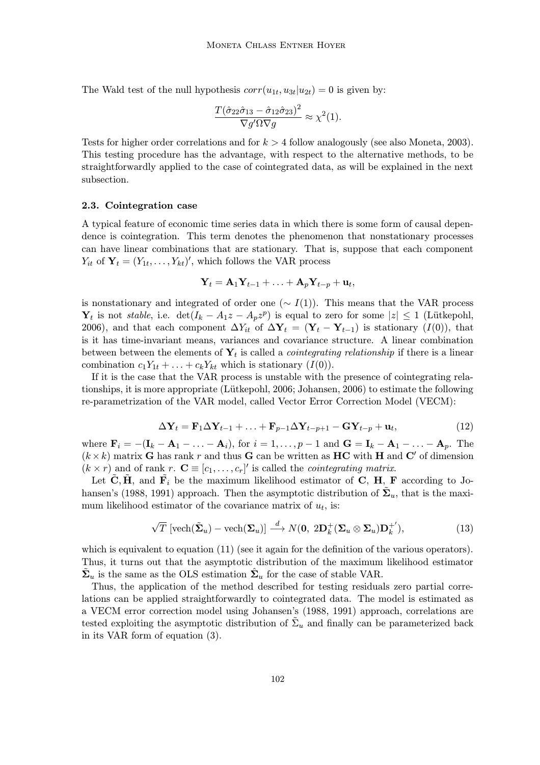The Wald test of the null hypothesis  $corr(u_{1t}, u_{3t}|u_{2t}) = 0$  is given by:

$$
\frac{T(\hat{\sigma}_{22}\hat{\sigma}_{13}-\hat{\sigma}_{12}\hat{\sigma}_{23})^2}{\nabla g'\Omega\nabla g} \approx \chi^2(1).
$$

Tests for higher order correlations and for  $k > 4$  follow analogously (see also Moneta, 2003). This testing procedure has the advantage, with respect to the alternative methods, to be straightforwardly applied to the case of cointegrated data, as will be explained in the next subsection.

#### 2.3. Cointegration case

A typical feature of economic time series data in which there is some form of causal dependence is cointegration. This term denotes the phenomenon that nonstationary processes can have linear combinations that are stationary. That is, suppose that each component  $Y_{it}$  of  $\mathbf{Y}_t = (Y_{1t}, \ldots, Y_{kt})'$ , which follows the VAR process

$$
\mathbf{Y}_t = \mathbf{A}_1 \mathbf{Y}_{t-1} + \ldots + \mathbf{A}_p \mathbf{Y}_{t-p} + \mathbf{u}_t,
$$

is nonstationary and integrated of order one ( $\sim I(1)$ ). This means that the VAR process  $\mathbf{Y}_t$  is not stable, i.e.  $\det(I_k - A_1z - A_pz^p)$  is equal to zero for some  $|z| \leq 1$  (Lütkepohl, 2006), and that each component  $\Delta Y_{it}$  of  $\Delta \mathbf{Y}_t = (\mathbf{Y}_t - \mathbf{Y}_{t-1})$  is stationary  $(I(0))$ , that is it has time-invariant means, variances and covariance structure. A linear combination between between the elements of  $Y_t$  is called a *cointegrating relationship* if there is a linear combination  $c_1Y_{1t} + \ldots + c_kY_{kt}$  which is stationary  $(I(0))$ .

If it is the case that the VAR process is unstable with the presence of cointegrating relationships, it is more appropriate (Lütkepohl, 2006; Johansen, 2006) to estimate the following re-parametrization of the VAR model, called Vector Error Correction Model (VECM):

$$
\Delta \mathbf{Y}_t = \mathbf{F}_1 \Delta \mathbf{Y}_{t-1} + \ldots + \mathbf{F}_{p-1} \Delta \mathbf{Y}_{t-p+1} - \mathbf{G} \mathbf{Y}_{t-p} + \mathbf{u}_t, \tag{12}
$$

where  $\mathbf{F}_i = -(\mathbf{I}_k - \mathbf{A}_1 - \ldots - \mathbf{A}_i)$ , for  $i = 1, \ldots, p-1$  and  $\mathbf{G} = \mathbf{I}_k - \mathbf{A}_1 - \ldots - \mathbf{A}_p$ . The  $(k \times k)$  matrix G has rank r and thus G can be written as HC with H and C' of dimension  $(k \times r)$  and of rank  $r$ .  $\mathbf{C} \equiv [c_1, \ldots, c_r]'$  is called the *cointegrating matrix*.

Let  $\tilde{\mathbf{C}}, \tilde{\mathbf{H}},$  and  $\tilde{\mathbf{F}}_i$  be the maximum likelihood estimator of  $\mathbf{C}, \mathbf{H}, \mathbf{F}$  according to Johansen's (1988, 1991) approach. Then the asymptotic distribution of  $\mathbf{\Sigma}_u$ , that is the maximum likelihood estimator of the covariance matrix of  $u_t$ , is:

$$
\sqrt{T} \left[ \text{vech}(\tilde{\mathbf{\Sigma}}_u) - \text{vech}(\mathbf{\Sigma}_u) \right] \stackrel{d}{\longrightarrow} N(\mathbf{0}, 2\mathbf{D}_k^+(\mathbf{\Sigma}_u \otimes \mathbf{\Sigma}_u) \mathbf{D}_k^{+'}), \tag{13}
$$

which is equivalent to equation (11) (see it again for the definition of the various operators). Thus, it turns out that the asymptotic distribution of the maximum likelihood estimator  $\Sigma_u$  is the same as the OLS estimation  $\Sigma_u$  for the case of stable VAR.

Thus, the application of the method described for testing residuals zero partial correlations can be applied straightforwardly to cointegrated data. The model is estimated as a VECM error correction model using Johansen's (1988, 1991) approach, correlations are tested exploiting the asymptotic distribution of  $\tilde{\Sigma}_u$  and finally can be parameterized back in its VAR form of equation (3).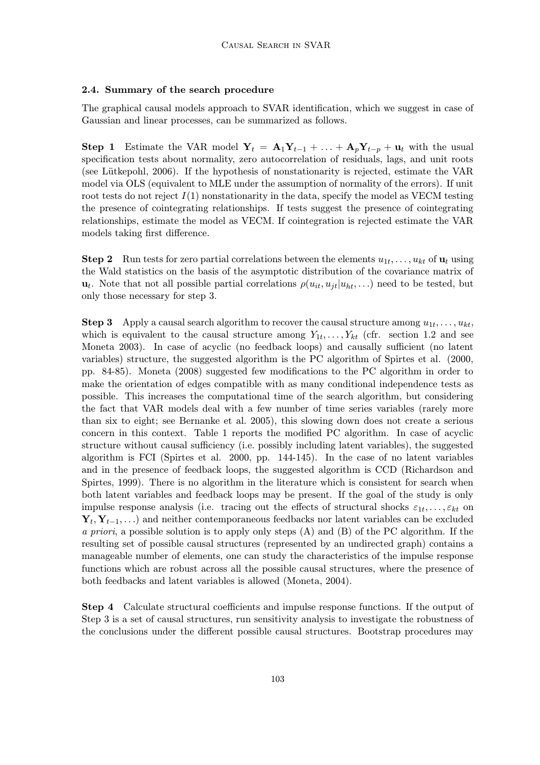## 2.4. Summary of the search procedure

The graphical causal models approach to SVAR identification, which we suggest in case of Gaussian and linear processes, can be summarized as follows.

Step 1 Estimate the VAR model  $Y_t = A_1Y_{t-1} + ... + A_pY_{t-p} + u_t$  with the usual specification tests about normality, zero autocorrelation of residuals, lags, and unit roots (see Lütkepohl, 2006). If the hypothesis of nonstationarity is rejected, estimate the VAR model via OLS (equivalent to MLE under the assumption of normality of the errors). If unit root tests do not reject  $I(1)$  nonstationarity in the data, specify the model as VECM testing the presence of cointegrating relationships. If tests suggest the presence of cointegrating relationships, estimate the model as VECM. If cointegration is rejected estimate the VAR models taking first difference.

**Step 2** Run tests for zero partial correlations between the elements  $u_{1t}, \ldots, u_{kt}$  of  $\mathbf{u}_t$  using the Wald statistics on the basis of the asymptotic distribution of the covariance matrix of  $u_t$ . Note that not all possible partial correlations  $\rho(u_{it}, u_{it}|u_{ht}, \ldots)$  need to be tested, but only those necessary for step 3.

**Step 3** Apply a causal search algorithm to recover the causal structure among  $u_{1t}, \ldots, u_{kt}$ , which is equivalent to the causal structure among  $Y_{1t}, \ldots, Y_{kt}$  (cfr. section 1.2 and see Moneta 2003). In case of acyclic (no feedback loops) and causally sufficient (no latent variables) structure, the suggested algorithm is the PC algorithm of Spirtes et al. (2000, pp. 84-85). Moneta (2008) suggested few modifications to the PC algorithm in order to make the orientation of edges compatible with as many conditional independence tests as possible. This increases the computational time of the search algorithm, but considering the fact that VAR models deal with a few number of time series variables (rarely more than six to eight; see Bernanke et al. 2005), this slowing down does not create a serious concern in this context. Table 1 reports the modified PC algorithm. In case of acyclic structure without causal sufficiency (i.e. possibly including latent variables), the suggested algorithm is FCI (Spirtes et al. 2000, pp. 144-145). In the case of no latent variables and in the presence of feedback loops, the suggested algorithm is CCD (Richardson and Spirtes, 1999). There is no algorithm in the literature which is consistent for search when both latent variables and feedback loops may be present. If the goal of the study is only impulse response analysis (i.e. tracing out the effects of structural shocks  $\varepsilon_{1t}, \ldots, \varepsilon_{kt}$  on  $Y_t, Y_{t-1}, \ldots$ ) and neither contemporaneous feedbacks nor latent variables can be excluded a priori, a possible solution is to apply only steps (A) and (B) of the PC algorithm. If the resulting set of possible causal structures (represented by an undirected graph) contains a manageable number of elements, one can study the characteristics of the impulse response functions which are robust across all the possible causal structures, where the presence of both feedbacks and latent variables is allowed (Moneta, 2004).

Step 4 Calculate structural coefficients and impulse response functions. If the output of Step 3 is a set of causal structures, run sensitivity analysis to investigate the robustness of the conclusions under the different possible causal structures. Bootstrap procedures may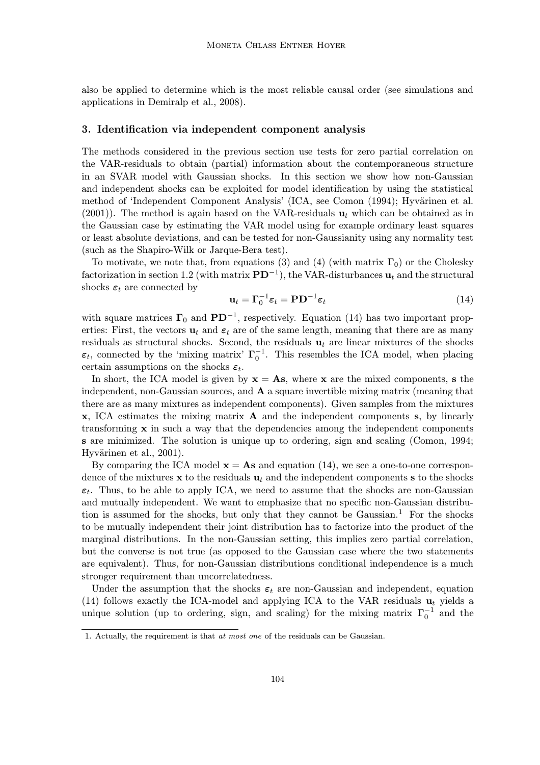also be applied to determine which is the most reliable causal order (see simulations and applications in Demiralp et al., 2008).

#### 3. Identification via independent component analysis

The methods considered in the previous section use tests for zero partial correlation on the VAR-residuals to obtain (partial) information about the contemporaneous structure in an SVAR model with Gaussian shocks. In this section we show how non-Gaussian and independent shocks can be exploited for model identification by using the statistical method of 'Independent Component Analysis' (ICA, see Comon (1994); Hyvärinen et al. (2001)). The method is again based on the VAR-residuals  $\mathbf{u}_t$  which can be obtained as in the Gaussian case by estimating the VAR model using for example ordinary least squares or least absolute deviations, and can be tested for non-Gaussianity using any normality test (such as the Shapiro-Wilk or Jarque-Bera test).

To motivate, we note that, from equations (3) and (4) (with matrix  $\Gamma_0$ ) or the Cholesky factorization in section 1.2 (with matrix  $\mathbf{PD}^{-1}$ ), the VAR-disturbances  $\mathbf{u}_t$  and the structural shocks  $\varepsilon_t$  are connected by

$$
\mathbf{u}_t = \mathbf{\Gamma}_0^{-1} \boldsymbol{\varepsilon}_t = \mathbf{P} \mathbf{D}^{-1} \boldsymbol{\varepsilon}_t \tag{14}
$$

with square matrices  $\Gamma_0$  and  $PD^{-1}$ , respectively. Equation (14) has two important properties: First, the vectors  $\mathbf{u}_t$  and  $\boldsymbol{\varepsilon}_t$  are of the same length, meaning that there are as many residuals as structural shocks. Second, the residuals  $\mathbf{u}_t$  are linear mixtures of the shocks  $\varepsilon_t$ , connected by the 'mixing matrix'  $\Gamma_0^{-1}$ . This resembles the ICA model, when placing certain assumptions on the shocks  $\varepsilon_t$ .

In short, the ICA model is given by  $x = As$ , where x are the mixed components, s the independent, non-Gaussian sources, and A a square invertible mixing matrix (meaning that there are as many mixtures as independent components). Given samples from the mixtures x, ICA estimates the mixing matrix A and the independent components s, by linearly transforming  $x$  in such a way that the dependencies among the independent components s are minimized. The solution is unique up to ordering, sign and scaling (Comon, 1994; Hyvärinen et al., 2001).

By comparing the ICA model  $\mathbf{x} = \mathbf{A}\mathbf{s}$  and equation (14), we see a one-to-one correspondence of the mixtures  $x$  to the residuals  $u_t$  and the independent components s to the shocks  $\varepsilon_t$ . Thus, to be able to apply ICA, we need to assume that the shocks are non-Gaussian and mutually independent. We want to emphasize that no specific non-Gaussian distribution is assumed for the shocks, but only that they cannot be Gaussian.<sup>1</sup> For the shocks to be mutually independent their joint distribution has to factorize into the product of the marginal distributions. In the non-Gaussian setting, this implies zero partial correlation, but the converse is not true (as opposed to the Gaussian case where the two statements are equivalent). Thus, for non-Gaussian distributions conditional independence is a much stronger requirement than uncorrelatedness.

Under the assumption that the shocks  $\varepsilon_t$  are non-Gaussian and independent, equation (14) follows exactly the ICA-model and applying ICA to the VAR residuals  $\mathbf{u}_t$  yields a unique solution (up to ordering, sign, and scaling) for the mixing matrix  $\Gamma_0^{-1}$  and the

<sup>1.</sup> Actually, the requirement is that at most one of the residuals can be Gaussian.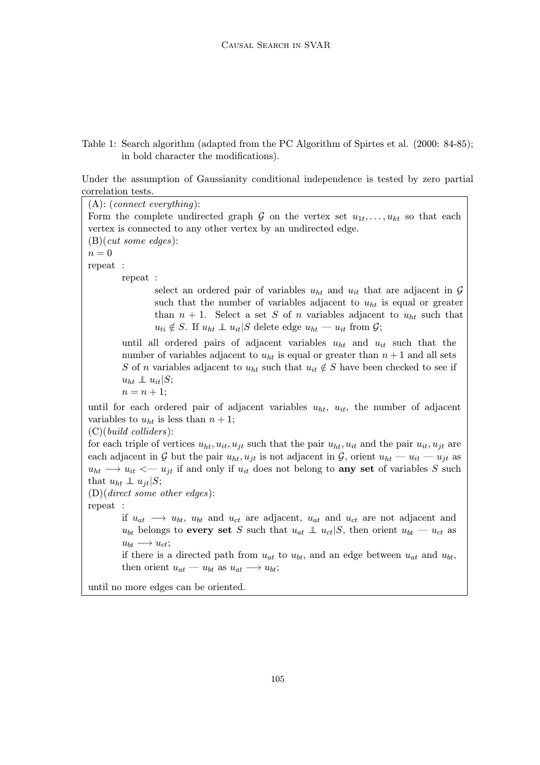# Table 1: Search algorithm (adapted from the PC Algorithm of Spirtes et al. (2000: 84-85); in bold character the modifications).

Under the assumption of Gaussianity conditional independence is tested by zero partial correlation tests.

(A): (connect everything): Form the complete undirected graph G on the vertex set  $u_{1t}, \ldots, u_{kt}$  so that each vertex is connected to any other vertex by an undirected edge. (B)(cut some edges):  $n = 0$ repeat : repeat : select an ordered pair of variables  $u_{ht}$  and  $u_{it}$  that are adjacent in  $\mathcal G$ such that the number of variables adjacent to  $u_{ht}$  is equal or greater than  $n + 1$ . Select a set S of n variables adjacent to  $u_{ht}$  such that  $u_{ti} \notin S$ . If  $u_{ht} \perp u_{it}|S$  delete edge  $u_{ht} \equiv u_{it}$  from  $\mathcal{G}$ ; until all ordered pairs of adjacent variables  $u_{ht}$  and  $u_{it}$  such that the number of variables adjacent to  $u_{ht}$  is equal or greater than  $n + 1$  and all sets S of n variables adjacent to  $u_{ht}$  such that  $u_{it} \notin S$  have been checked to see if  $u_{ht} \perp u_{it} | S;$  $n = n + 1;$ until for each ordered pair of adjacent variables  $u_{ht}$ ,  $u_{it}$ , the number of adjacent variables to  $u_{ht}$  is less than  $n + 1$ ; (C)(build colliders): for each triple of vertices  $u_{ht}$ ,  $u_{it}$ ,  $u_{jt}$  such that the pair  $u_{ht}$ ,  $u_{it}$  and the pair  $u_{it}$ ,  $u_{jt}$  are each adjacent in G but the pair  $u_{ht}$ ,  $u_{it}$  is not adjacent in G, orient  $u_{ht} - u_{it} - u_{it}$  as  $u_{ht} \rightarrow u_{it} \leftarrow u_{jt}$  if and only if  $u_{it}$  does not belong to **any set** of variables S such that  $u_{ht} \perp u_{it} | S;$ (D)(direct some other edges): repeat : if  $u_{at} \rightarrow u_{bt}$ ,  $u_{bt}$  and  $u_{ct}$  are adjacent,  $u_{at}$  and  $u_{ct}$  are not adjacent and  $u_{bt}$  belongs to every set S such that  $u_{at} \perp u_{ct}|S$ , then orient  $u_{bt} - u_{ct}$  as  $u_{bt} \longrightarrow u_{ct}$ ; if there is a directed path from  $u_{at}$  to  $u_{bt}$ , and an edge between  $u_{at}$  and  $u_{bt}$ , then orient  $u_{at} - u_{bt}$  as  $u_{at} \longrightarrow u_{bt}$ ;

until no more edges can be oriented.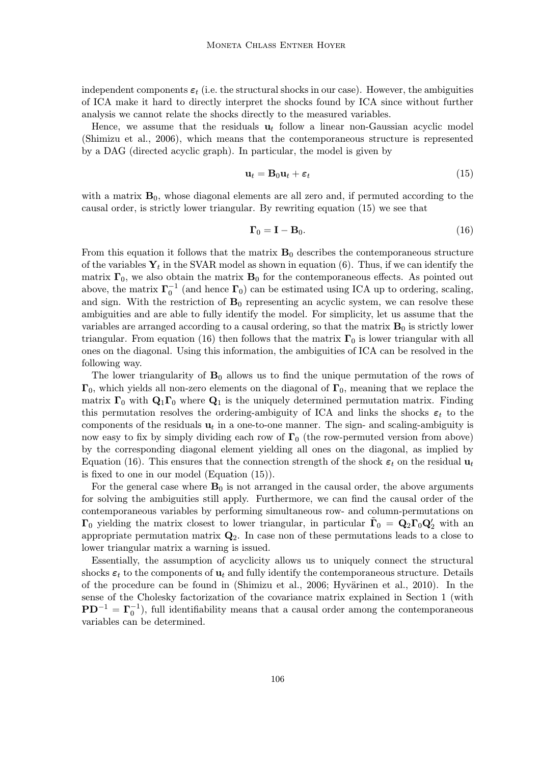independent components  $\varepsilon_t$  (i.e. the structural shocks in our case). However, the ambiguities of ICA make it hard to directly interpret the shocks found by ICA since without further analysis we cannot relate the shocks directly to the measured variables.

Hence, we assume that the residuals  $\mathbf{u}_t$  follow a linear non-Gaussian acyclic model (Shimizu et al., 2006), which means that the contemporaneous structure is represented by a DAG (directed acyclic graph). In particular, the model is given by

$$
\mathbf{u}_t = \mathbf{B}_0 \mathbf{u}_t + \boldsymbol{\varepsilon}_t \tag{15}
$$

with a matrix  $B_0$ , whose diagonal elements are all zero and, if permuted according to the causal order, is strictly lower triangular. By rewriting equation (15) we see that

$$
\Gamma_0 = \mathbf{I} - \mathbf{B}_0. \tag{16}
$$

From this equation it follows that the matrix  $B_0$  describes the contemporaneous structure of the variables  $Y_t$  in the SVAR model as shown in equation (6). Thus, if we can identify the matrix  $\mathbf{\Gamma}_0$ , we also obtain the matrix  $\mathbf{B}_0$  for the contemporaneous effects. As pointed out above, the matrix  $\Gamma_0^{-1}$  (and hence  $\Gamma_0$ ) can be estimated using ICA up to ordering, scaling, and sign. With the restriction of  $B_0$  representing an acyclic system, we can resolve these ambiguities and are able to fully identify the model. For simplicity, let us assume that the variables are arranged according to a causal ordering, so that the matrix  $B_0$  is strictly lower triangular. From equation (16) then follows that the matrix  $\Gamma_0$  is lower triangular with all ones on the diagonal. Using this information, the ambiguities of ICA can be resolved in the following way.

The lower triangularity of  $B_0$  allows us to find the unique permutation of the rows of  $\Gamma_0$ , which yields all non-zero elements on the diagonal of  $\Gamma_0$ , meaning that we replace the matrix  $\Gamma_0$  with  $\mathbf{Q}_1\Gamma_0$  where  $\mathbf{Q}_1$  is the uniquely determined permutation matrix. Finding this permutation resolves the ordering-ambiguity of ICA and links the shocks  $\varepsilon_t$  to the components of the residuals  $\mathbf{u}_t$  in a one-to-one manner. The sign- and scaling-ambiguity is now easy to fix by simply dividing each row of  $\Gamma_0$  (the row-permuted version from above) by the corresponding diagonal element yielding all ones on the diagonal, as implied by Equation (16). This ensures that the connection strength of the shock  $\varepsilon_t$  on the residual  $\mathbf{u}_t$ is fixed to one in our model (Equation (15)).

For the general case where  $B_0$  is not arranged in the causal order, the above arguments for solving the ambiguities still apply. Furthermore, we can find the causal order of the contemporaneous variables by performing simultaneous row- and column-permutations on  $\Gamma_0$  yielding the matrix closest to lower triangular, in particular  $\tilde{\Gamma}_0 = Q_2 \Gamma_0 Q'_2$  with an appropriate permutation matrix  $\mathbf{Q}_2$ . In case non of these permutations leads to a close to lower triangular matrix a warning is issued.

Essentially, the assumption of acyclicity allows us to uniquely connect the structural shocks  $\varepsilon_t$  to the components of  $\mathbf{u}_t$  and fully identify the contemporaneous structure. Details of the procedure can be found in (Shimizu et al., 2006; Hyvärinen et al., 2010). In the sense of the Cholesky factorization of the covariance matrix explained in Section 1 (with  $PD^{-1} = \Gamma_0^{-1}$ ), full identifiability means that a causal order among the contemporaneous variables can be determined.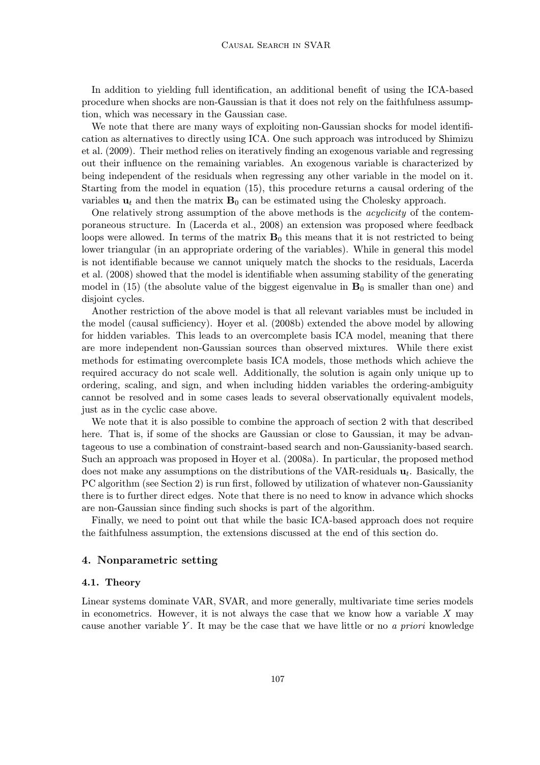In addition to yielding full identification, an additional benefit of using the ICA-based procedure when shocks are non-Gaussian is that it does not rely on the faithfulness assumption, which was necessary in the Gaussian case.

We note that there are many ways of exploiting non-Gaussian shocks for model identification as alternatives to directly using ICA. One such approach was introduced by Shimizu et al. (2009). Their method relies on iteratively finding an exogenous variable and regressing out their influence on the remaining variables. An exogenous variable is characterized by being independent of the residuals when regressing any other variable in the model on it. Starting from the model in equation (15), this procedure returns a causal ordering of the variables  $\mathbf{u}_t$  and then the matrix  $\mathbf{B}_0$  can be estimated using the Cholesky approach.

One relatively strong assumption of the above methods is the *acyclicity* of the contemporaneous structure. In (Lacerda et al., 2008) an extension was proposed where feedback loops were allowed. In terms of the matrix  $\mathbf{B}_0$  this means that it is not restricted to being lower triangular (in an appropriate ordering of the variables). While in general this model is not identifiable because we cannot uniquely match the shocks to the residuals, Lacerda et al. (2008) showed that the model is identifiable when assuming stability of the generating model in (15) (the absolute value of the biggest eigenvalue in  $\mathbf{B}_0$  is smaller than one) and disjoint cycles.

Another restriction of the above model is that all relevant variables must be included in the model (causal sufficiency). Hoyer et al. (2008b) extended the above model by allowing for hidden variables. This leads to an overcomplete basis ICA model, meaning that there are more independent non-Gaussian sources than observed mixtures. While there exist methods for estimating overcomplete basis ICA models, those methods which achieve the required accuracy do not scale well. Additionally, the solution is again only unique up to ordering, scaling, and sign, and when including hidden variables the ordering-ambiguity cannot be resolved and in some cases leads to several observationally equivalent models, just as in the cyclic case above.

We note that it is also possible to combine the approach of section 2 with that described here. That is, if some of the shocks are Gaussian or close to Gaussian, it may be advantageous to use a combination of constraint-based search and non-Gaussianity-based search. Such an approach was proposed in Hoyer et al. (2008a). In particular, the proposed method does not make any assumptions on the distributions of the VAR-residuals  $\mathbf{u}_t$ . Basically, the PC algorithm (see Section 2) is run first, followed by utilization of whatever non-Gaussianity there is to further direct edges. Note that there is no need to know in advance which shocks are non-Gaussian since finding such shocks is part of the algorithm.

Finally, we need to point out that while the basic ICA-based approach does not require the faithfulness assumption, the extensions discussed at the end of this section do.

# 4. Nonparametric setting

#### 4.1. Theory

Linear systems dominate VAR, SVAR, and more generally, multivariate time series models in econometrics. However, it is not always the case that we know how a variable  $X$  may cause another variable Y. It may be the case that we have little or no a priori knowledge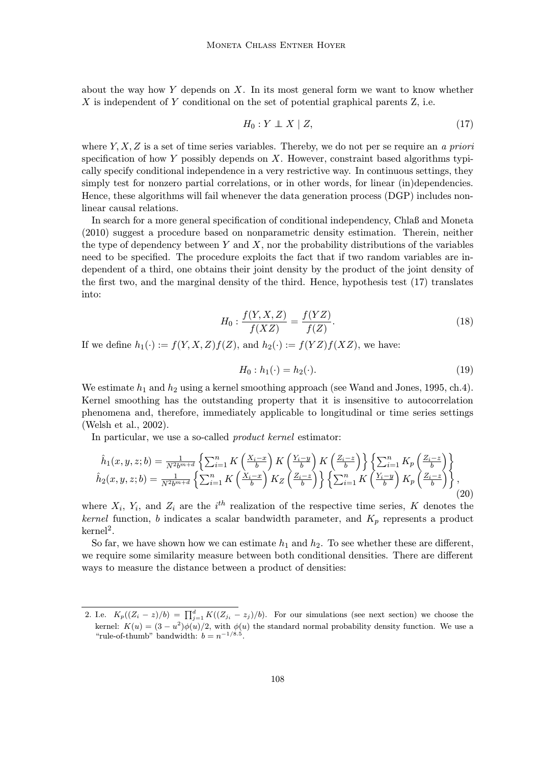about the way how Y depends on  $X$ . In its most general form we want to know whether X is independent of Y conditional on the set of potential graphical parents Z, i.e.

$$
H_0: Y \perp\!\!\!\perp X \mid Z,\tag{17}
$$

where  $Y, X, Z$  is a set of time series variables. Thereby, we do not per se require an a priori specification of how  $Y$  possibly depends on  $X$ . However, constraint based algorithms typically specify conditional independence in a very restrictive way. In continuous settings, they simply test for nonzero partial correlations, or in other words, for linear (in)dependencies. Hence, these algorithms will fail whenever the data generation process (DGP) includes nonlinear causal relations.

In search for a more general specification of conditional independency, Chlaß and Moneta (2010) suggest a procedure based on nonparametric density estimation. Therein, neither the type of dependency between Y and X, nor the probability distributions of the variables need to be specified. The procedure exploits the fact that if two random variables are independent of a third, one obtains their joint density by the product of the joint density of the first two, and the marginal density of the third. Hence, hypothesis test (17) translates into:

$$
H_0: \frac{f(Y, X, Z)}{f(XZ)} = \frac{f(YZ)}{f(Z)}.
$$
\n(18)

If we define  $h_1(\cdot) := f(Y, X, Z)f(Z)$ , and  $h_2(\cdot) := f(YZ)f(XZ)$ , we have:

$$
H_0: h_1(\cdot) = h_2(\cdot). \tag{19}
$$

We estimate  $h_1$  and  $h_2$  using a kernel smoothing approach (see Wand and Jones, 1995, ch.4). Kernel smoothing has the outstanding property that it is insensitive to autocorrelation phenomena and, therefore, immediately applicable to longitudinal or time series settings (Welsh et al., 2002).

In particular, we use a so-called product kernel estimator:

$$
\hat{h}_1(x, y, z; b) = \frac{1}{N^2 b^{m+d}} \left\{ \sum_{i=1}^n K\left(\frac{X_i - x}{b}\right) K\left(\frac{Y_i - y}{b}\right) K\left(\frac{Z_i - z}{b}\right) \right\} \left\{ \sum_{i=1}^n K_p\left(\frac{Z_i - z}{b}\right) \right\}
$$
\n
$$
\hat{h}_2(x, y, z; b) = \frac{1}{N^2 b^{m+d}} \left\{ \sum_{i=1}^n K\left(\frac{X_i - x}{b}\right) K_Z\left(\frac{Z_i - z}{b}\right) \right\} \left\{ \sum_{i=1}^n K\left(\frac{Y_i - y}{b}\right) K_p\left(\frac{Z_i - z}{b}\right) \right\},\tag{20}
$$

where  $X_i$ ,  $Y_i$ , and  $Z_i$  are the i<sup>th</sup> realization of the respective time series, K denotes the kernel function, b indicates a scalar bandwidth parameter, and  $K_p$  represents a product  $k$ ernel<sup>2</sup>.

So far, we have shown how we can estimate  $h_1$  and  $h_2$ . To see whether these are different, we require some similarity measure between both conditional densities. There are different ways to measure the distance between a product of densities:

<sup>2.</sup> I.e.  $K_p((Z_i - z)/b) = \prod_{j=1}^d K((Z_{j_i} - z_j)/b)$ . For our simulations (see next section) we choose the kernel:  $K(u) = (3 - u^2)\phi(u)/2$ , with  $\phi(u)$  the standard normal probability density function. We use a "rule-of-thumb" bandwidth:  $b = n^{-1/8.5}$ .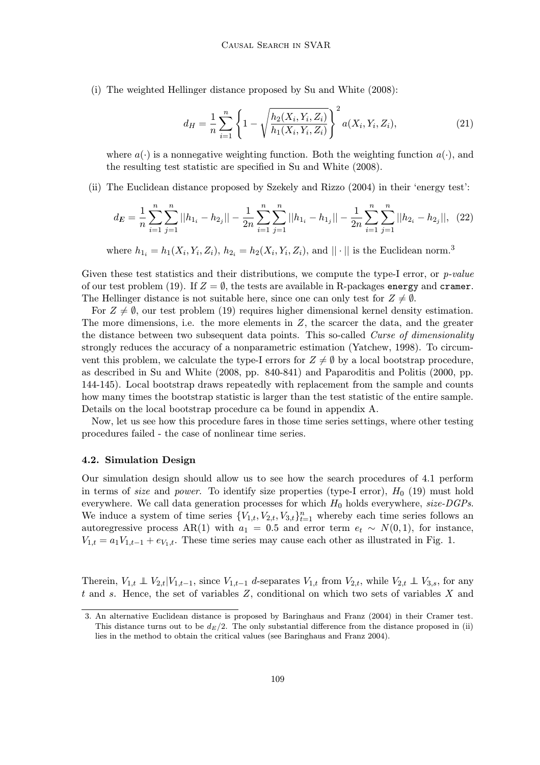(i) The weighted Hellinger distance proposed by Su and White (2008):

$$
d_H = \frac{1}{n} \sum_{i=1}^n \left\{ 1 - \sqrt{\frac{h_2(X_i, Y_i, Z_i)}{h_1(X_i, Y_i, Z_i)}} \right\}^2 a(X_i, Y_i, Z_i), \tag{21}
$$

where  $a(\cdot)$  is a nonnegative weighting function. Both the weighting function  $a(\cdot)$ , and the resulting test statistic are specified in Su and White (2008).

(ii) The Euclidean distance proposed by Szekely and Rizzo (2004) in their 'energy test':

$$
d_E = \frac{1}{n} \sum_{i=1}^n \sum_{j=1}^n ||h_{1_i} - h_{2_j}|| - \frac{1}{2n} \sum_{i=1}^n \sum_{j=1}^n ||h_{1_i} - h_{1_j}|| - \frac{1}{2n} \sum_{i=1}^n \sum_{j=1}^n ||h_{2_i} - h_{2_j}||, \tag{22}
$$

where  $h_{1_i} = h_1(X_i, Y_i, Z_i), h_{2_i} = h_2(X_i, Y_i, Z_i)$ , and  $|| \cdot ||$  is the Euclidean norm.<sup>3</sup>

Given these test statistics and their distributions, we compute the type-I error, or *p-value* of our test problem (19). If  $Z = \emptyset$ , the tests are available in R-packages energy and cramer. The Hellinger distance is not suitable here, since one can only test for  $Z \neq \emptyset$ .

For  $Z \neq \emptyset$ , our test problem (19) requires higher dimensional kernel density estimation. The more dimensions, i.e. the more elements in  $Z$ , the scarcer the data, and the greater the distance between two subsequent data points. This so-called Curse of dimensionality strongly reduces the accuracy of a nonparametric estimation (Yatchew, 1998). To circumvent this problem, we calculate the type-I errors for  $Z \neq \emptyset$  by a local bootstrap procedure, as described in Su and White (2008, pp. 840-841) and Paparoditis and Politis (2000, pp. 144-145). Local bootstrap draws repeatedly with replacement from the sample and counts how many times the bootstrap statistic is larger than the test statistic of the entire sample. Details on the local bootstrap procedure ca be found in appendix A.

Now, let us see how this procedure fares in those time series settings, where other testing procedures failed - the case of nonlinear time series.

#### 4.2. Simulation Design

Our simulation design should allow us to see how the search procedures of 4.1 perform in terms of *size* and *power*. To identify size properties (type-I error),  $H_0$  (19) must hold everywhere. We call data generation processes for which  $H_0$  holds everywhere, size-DGPs. We induce a system of time series  ${V_{1,t}, V_{2,t}, V_{3,t}}_{t=1}^n$  whereby each time series follows an autoregressive process AR(1) with  $a_1 = 0.5$  and error term  $e_t \sim N(0, 1)$ , for instance,  $V_{1,t} = a_1 V_{1,t-1} + e_{V_1,t}$ . These time series may cause each other as illustrated in Fig. 1.

Therein,  $V_{1,t} \perp V_{2,t}|V_{1,t-1}$ , since  $V_{1,t-1}$  d-separates  $V_{1,t}$  from  $V_{2,t}$ , while  $V_{2,t} \perp V_{3,s}$ , for any t and s. Hence, the set of variables Z, conditional on which two sets of variables X and

<sup>3.</sup> An alternative Euclidean distance is proposed by Baringhaus and Franz (2004) in their Cramer test. This distance turns out to be  $d_E/2$ . The only substantial difference from the distance proposed in (ii) lies in the method to obtain the critical values (see Baringhaus and Franz 2004).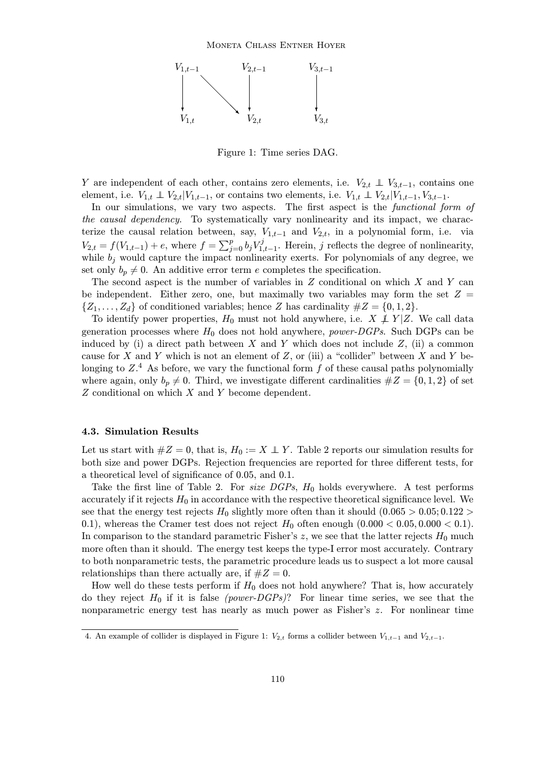

Figure 1: Time series DAG.

Y are independent of each other, contains zero elements, i.e.  $V_{2,t} \perp V_{3,t-1}$ , contains one element, i.e.  $V_{1,t} \perp V_{2,t}|V_{1,t-1}$ , or contains two elements, i.e.  $V_{1,t} \perp V_{2,t}|V_{1,t-1}, V_{3,t-1}$ .

In our simulations, we vary two aspects. The first aspect is the functional form of the causal dependency. To systematically vary nonlinearity and its impact, we characterize the causal relation between, say,  $V_{1,t-1}$  and  $V_{2,t}$ , in a polynomial form, i.e. via  $V_{2,t} = f(V_{1,t-1}) + e$ , where  $f = \sum_{j=0}^{p} b_j V_{1,t-1}^j$ . Herein, j reflects the degree of nonlinearity, while  $b_j$  would capture the impact nonlinearity exerts. For polynomials of any degree, we set only  $b_p \neq 0$ . An additive error term e completes the specification.

The second aspect is the number of variables in  $Z$  conditional on which  $X$  and  $Y$  can be independent. Either zero, one, but maximally two variables may form the set  $Z =$  $\{Z_1, \ldots, Z_d\}$  of conditioned variables; hence Z has cardinality  $\#Z = \{0, 1, 2\}.$ 

To identify power properties,  $H_0$  must not hold anywhere, i.e.  $X \not\perp Y | Z$ . We call data generation processes where  $H_0$  does not hold anywhere, *power-DGPs*. Such DGPs can be induced by (i) a direct path between X and Y which does not include  $Z$ , (ii) a common cause for X and Y which is not an element of Z, or (iii) a "collider" between X and Y belonging to  $Z^4$ . As before, we vary the functional form f of these causal paths polynomially where again, only  $b_p \neq 0$ . Third, we investigate different cardinalities  $\#Z = \{0, 1, 2\}$  of set Z conditional on which X and Y become dependent.

#### 4.3. Simulation Results

Let us start with  $#Z = 0$ , that is,  $H_0 := X \perp Y$ . Table 2 reports our simulation results for both size and power DGPs. Rejection frequencies are reported for three different tests, for a theoretical level of significance of 0.05, and 0.1.

Take the first line of Table 2. For *size DGPs*,  $H_0$  holds everywhere. A test performs accurately if it rejects  $H_0$  in accordance with the respective theoretical significance level. We see that the energy test rejects  $H_0$  slightly more often than it should  $(0.065 > 0.05; 0.122 >$ 0.1), whereas the Cramer test does not reject  $H_0$  often enough  $(0.000 < 0.05, 0.000 < 0.1)$ . In comparison to the standard parametric Fisher's  $z$ , we see that the latter rejects  $H_0$  much more often than it should. The energy test keeps the type-I error most accurately. Contrary to both nonparametric tests, the parametric procedure leads us to suspect a lot more causal relationships than there actually are, if  $#Z = 0$ .

How well do these tests perform if  $H_0$  does not hold anywhere? That is, how accurately do they reject  $H_0$  if it is false (power-DGPs)? For linear time series, we see that the nonparametric energy test has nearly as much power as Fisher's z. For nonlinear time

<sup>4.</sup> An example of collider is displayed in Figure 1:  $V_{2,t}$  forms a collider between  $V_{1,t-1}$  and  $V_{2,t-1}$ .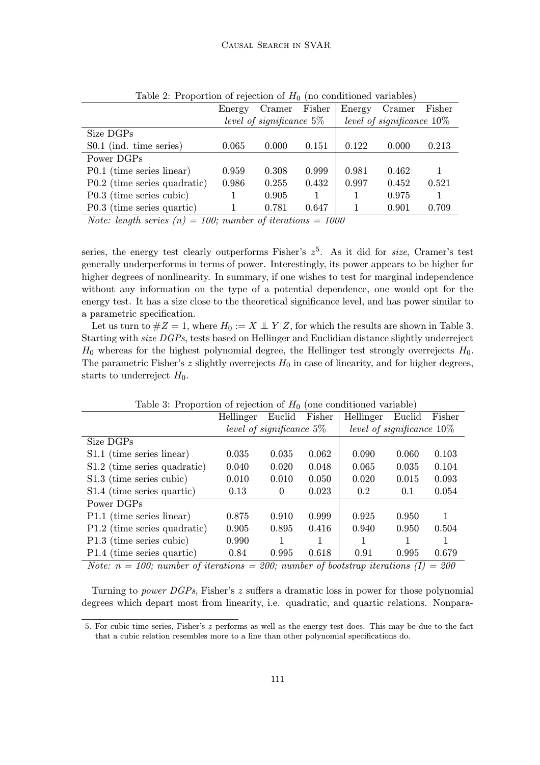|                              | Energy                      | Cramer | Fisher | Energy                       | Cramer | Fisher |  |
|------------------------------|-----------------------------|--------|--------|------------------------------|--------|--------|--|
|                              | level of significance $5\%$ |        |        | level of significance $10\%$ |        |        |  |
| Size DGPs                    |                             |        |        |                              |        |        |  |
| S0.1 (ind. time series)      | 0.065                       | 0.000  | 0.151  | 0.122                        | 0.000  | 0.213  |  |
| Power DGPs                   |                             |        |        |                              |        |        |  |
| P0.1 (time series linear)    | 0.959                       | 0.308  | 0.999  | 0.981                        | 0.462  |        |  |
| P0.2 (time series quadratic) | 0.986                       | 0.255  | 0.432  | 0.997                        | 0.452  | 0.521  |  |
| P0.3 (time series cubic)     |                             | 0.905  |        |                              | 0.975  |        |  |
| P0.3 (time series quartic)   |                             | 0.781  | 0.647  |                              | 0.901  | 0.709  |  |

Table 2: Proportion of rejection of  $H_0$  (no conditioned variables)

Note: length series  $(n) = 100$ ; number of iterations = 1000

series, the energy test clearly outperforms Fisher's  $z^5$ . As it did for *size*, Cramer's test generally underperforms in terms of power. Interestingly, its power appears to be higher for higher degrees of nonlinearity. In summary, if one wishes to test for marginal independence without any information on the type of a potential dependence, one would opt for the energy test. It has a size close to the theoretical significance level, and has power similar to a parametric specification.

Let us turn to  $#Z = 1$ , where  $H_0 := X \perp Y | Z$ , for which the results are shown in Table 3. Starting with size DGPs, tests based on Hellinger and Euclidian distance slightly underreject  $H_0$  whereas for the highest polynomial degree, the Hellinger test strongly overrejects  $H_0$ . The parametric Fisher's z slightly overrejects  $H_0$  in case of linearity, and for higher degrees, starts to underreject  $H_0$ .

| Table 0. I reportion of rejection or 11 <sup>1</sup> (one conditioned variable)        |                             |        |        |                              |        |        |  |
|----------------------------------------------------------------------------------------|-----------------------------|--------|--------|------------------------------|--------|--------|--|
|                                                                                        | Hellinger                   | Euclid | Fisher | Hellinger                    | Euclid | Fisher |  |
|                                                                                        | level of significance $5\%$ |        |        | level of significance $10\%$ |        |        |  |
| Size DGPs                                                                              |                             |        |        |                              |        |        |  |
| S1.1 (time series linear)                                                              | 0.035                       | 0.035  | 0.062  | 0.090                        | 0.060  | 0.103  |  |
| S1.2 (time series quadratic)                                                           | 0.040                       | 0.020  | 0.048  | 0.065                        | 0.035  | 0.104  |  |
| S1.3 (time series cubic)                                                               | 0.010                       | 0.010  | 0.050  | 0.020                        | 0.015  | 0.093  |  |
| S1.4 (time series quartic)                                                             | 0.13                        | 0      | 0.023  | 0.2                          | 0.1    | 0.054  |  |
| Power DGPs                                                                             |                             |        |        |                              |        |        |  |
| P1.1 (time series linear)                                                              | 0.875                       | 0.910  | 0.999  | 0.925                        | 0.950  | 1      |  |
| P1.2 (time series quadratic)                                                           | 0.905                       | 0.895  | 0.416  | 0.940                        | 0.950  | 0.504  |  |
| P1.3 (time series cubic)                                                               | 0.990                       |        | 1      |                              |        |        |  |
| P1.4 (time series quartic)                                                             | 0.84                        | 0.995  | 0.618  | 0.91                         | 0.995  | 0.679  |  |
| Note: $n = 100$ ; number of iterations = 200; number of bootstrap iterations (I) = 200 |                             |        |        |                              |        |        |  |

Table 3: Proportion of rejection of  $H_0$  (one conditioned variable)

Turning to *power DGPs*, Fisher's z suffers a dramatic loss in power for those polynomial degrees which depart most from linearity, i.e. quadratic, and quartic relations. Nonpara-

<sup>5.</sup> For cubic time series, Fisher's z performs as well as the energy test does. This may be due to the fact that a cubic relation resembles more to a line than other polynomial specifications do.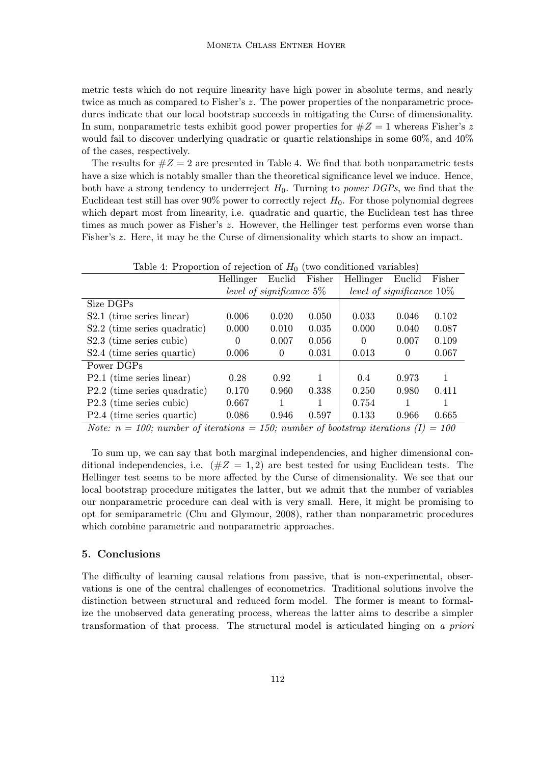metric tests which do not require linearity have high power in absolute terms, and nearly twice as much as compared to Fisher's z. The power properties of the nonparametric procedures indicate that our local bootstrap succeeds in mitigating the Curse of dimensionality. In sum, nonparametric tests exhibit good power properties for  $\#Z = 1$  whereas Fisher's z would fail to discover underlying quadratic or quartic relationships in some 60%, and 40% of the cases, respectively.

The results for  $#Z = 2$  are presented in Table 4. We find that both nonparametric tests have a size which is notably smaller than the theoretical significance level we induce. Hence, both have a strong tendency to underreject  $H_0$ . Turning to *power DGPs*, we find that the Euclidean test still has over 90% power to correctly reject  $H_0$ . For those polynomial degrees which depart most from linearity, i.e. quadratic and quartic, the Euclidean test has three times as much power as Fisher's z. However, the Hellinger test performs even worse than Fisher's z. Here, it may be the Curse of dimensionality which starts to show an impact.

| Table 4: Proportion of rejection of $H_0$ (two conditioned variables) |  |  |  |
|-----------------------------------------------------------------------|--|--|--|
|                                                                       |  |  |  |

|                                                                                                                                                                                                                                                 | Hellinger                   | Euclid | Fisher | Hellinger                    | Euclid | Fisher |
|-------------------------------------------------------------------------------------------------------------------------------------------------------------------------------------------------------------------------------------------------|-----------------------------|--------|--------|------------------------------|--------|--------|
|                                                                                                                                                                                                                                                 | level of significance $5\%$ |        |        | level of significance $10\%$ |        |        |
| Size DGPs                                                                                                                                                                                                                                       |                             |        |        |                              |        |        |
| $S2.1$ (time series linear)                                                                                                                                                                                                                     | 0.006                       | 0.020  | 0.050  | 0.033                        | 0.046  | 0.102  |
| S2.2 (time series quadratic)                                                                                                                                                                                                                    | 0.000                       | 0.010  | 0.035  | 0.000                        | 0.040  | 0.087  |
| S2.3 (time series cubic)                                                                                                                                                                                                                        | 0                           | 0.007  | 0.056  | 0                            | 0.007  | 0.109  |
| S2.4 (time series quartic)                                                                                                                                                                                                                      | 0.006                       | 0      | 0.031  | 0.013                        | 0      | 0.067  |
| Power DGPs                                                                                                                                                                                                                                      |                             |        |        |                              |        |        |
| $P2.1$ (time series linear)                                                                                                                                                                                                                     | 0.28                        | 0.92   | 1      | 0.4                          | 0.973  |        |
| P2.2 (time series quadratic)                                                                                                                                                                                                                    | 0.170                       | 0.960  | 0.338  | 0.250                        | 0.980  | 0.411  |
| P2.3 (time series cubic)                                                                                                                                                                                                                        | 0.667                       |        | 1      | 0.754                        |        |        |
| P2.4 (time series quartic)                                                                                                                                                                                                                      | 0.086                       | 0.946  | 0.597  | 0.133                        | 0.966  | 0.665  |
| $\overline{M}$ is a contracted in the contraction of $\overline{M}$ is a contracted in the contraction of $\overline{M}$ is a contracted in the contracted in the contracted in the contracted in the contracted in the contracted in the contr |                             |        |        |                              | 100    |        |

Note:  $n = 100$ ; number of iterations = 150; number of bootstrap iterations (I) = 100

To sum up, we can say that both marginal independencies, and higher dimensional conditional independencies, i.e.  $(\#Z = 1, 2)$  are best tested for using Euclidean tests. The Hellinger test seems to be more affected by the Curse of dimensionality. We see that our local bootstrap procedure mitigates the latter, but we admit that the number of variables our nonparametric procedure can deal with is very small. Here, it might be promising to opt for semiparametric (Chu and Glymour, 2008), rather than nonparametric procedures which combine parametric and nonparametric approaches.

# 5. Conclusions

The difficulty of learning causal relations from passive, that is non-experimental, observations is one of the central challenges of econometrics. Traditional solutions involve the distinction between structural and reduced form model. The former is meant to formalize the unobserved data generating process, whereas the latter aims to describe a simpler transformation of that process. The structural model is articulated hinging on a priori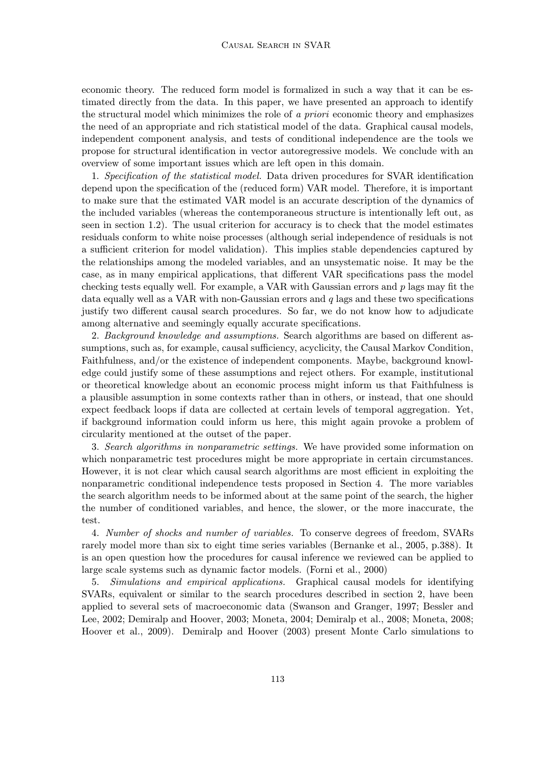economic theory. The reduced form model is formalized in such a way that it can be estimated directly from the data. In this paper, we have presented an approach to identify the structural model which minimizes the role of a priori economic theory and emphasizes the need of an appropriate and rich statistical model of the data. Graphical causal models, independent component analysis, and tests of conditional independence are the tools we propose for structural identification in vector autoregressive models. We conclude with an overview of some important issues which are left open in this domain.

1. Specification of the statistical model. Data driven procedures for SVAR identification depend upon the specification of the (reduced form) VAR model. Therefore, it is important to make sure that the estimated VAR model is an accurate description of the dynamics of the included variables (whereas the contemporaneous structure is intentionally left out, as seen in section 1.2). The usual criterion for accuracy is to check that the model estimates residuals conform to white noise processes (although serial independence of residuals is not a sufficient criterion for model validation). This implies stable dependencies captured by the relationships among the modeled variables, and an unsystematic noise. It may be the case, as in many empirical applications, that different VAR specifications pass the model checking tests equally well. For example, a VAR with Gaussian errors and  $p$  lags may fit the data equally well as a VAR with non-Gaussian errors and  $q$  lags and these two specifications justify two different causal search procedures. So far, we do not know how to adjudicate among alternative and seemingly equally accurate specifications.

2. Background knowledge and assumptions. Search algorithms are based on different assumptions, such as, for example, causal sufficiency, acyclicity, the Causal Markov Condition, Faithfulness, and/or the existence of independent components. Maybe, background knowledge could justify some of these assumptions and reject others. For example, institutional or theoretical knowledge about an economic process might inform us that Faithfulness is a plausible assumption in some contexts rather than in others, or instead, that one should expect feedback loops if data are collected at certain levels of temporal aggregation. Yet, if background information could inform us here, this might again provoke a problem of circularity mentioned at the outset of the paper.

3. Search algorithms in nonparametric settings. We have provided some information on which nonparametric test procedures might be more appropriate in certain circumstances. However, it is not clear which causal search algorithms are most efficient in exploiting the nonparametric conditional independence tests proposed in Section 4. The more variables the search algorithm needs to be informed about at the same point of the search, the higher the number of conditioned variables, and hence, the slower, or the more inaccurate, the test.

4. Number of shocks and number of variables. To conserve degrees of freedom, SVARs rarely model more than six to eight time series variables (Bernanke et al., 2005, p.388). It is an open question how the procedures for causal inference we reviewed can be applied to large scale systems such as dynamic factor models. (Forni et al., 2000)

5. Simulations and empirical applications. Graphical causal models for identifying SVARs, equivalent or similar to the search procedures described in section 2, have been applied to several sets of macroeconomic data (Swanson and Granger, 1997; Bessler and Lee, 2002; Demiralp and Hoover, 2003; Moneta, 2004; Demiralp et al., 2008; Moneta, 2008; Hoover et al., 2009). Demiralp and Hoover (2003) present Monte Carlo simulations to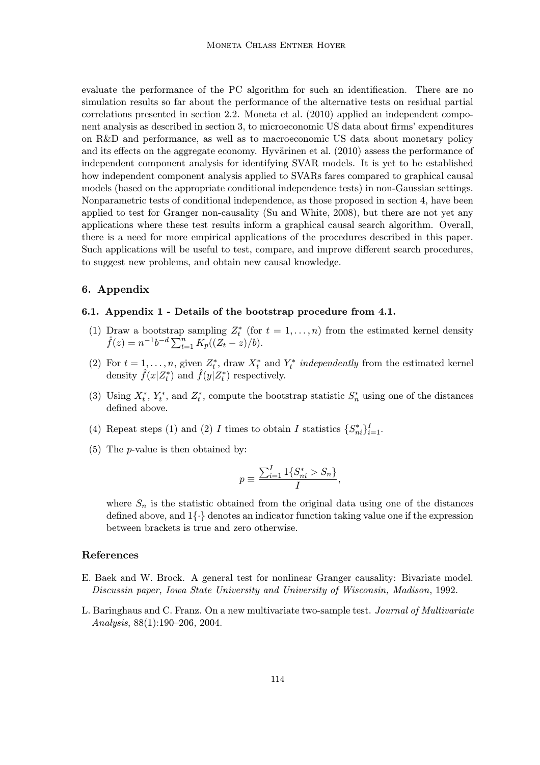evaluate the performance of the PC algorithm for such an identification. There are no simulation results so far about the performance of the alternative tests on residual partial correlations presented in section 2.2. Moneta et al. (2010) applied an independent component analysis as described in section 3, to microeconomic US data about firms' expenditures on R&D and performance, as well as to macroeconomic US data about monetary policy and its effects on the aggregate economy. Hyvärinen et al. (2010) assess the performance of independent component analysis for identifying SVAR models. It is yet to be established how independent component analysis applied to SVARs fares compared to graphical causal models (based on the appropriate conditional independence tests) in non-Gaussian settings. Nonparametric tests of conditional independence, as those proposed in section 4, have been applied to test for Granger non-causality (Su and White, 2008), but there are not yet any applications where these test results inform a graphical causal search algorithm. Overall, there is a need for more empirical applications of the procedures described in this paper. Such applications will be useful to test, compare, and improve different search procedures, to suggest new problems, and obtain new causal knowledge.

# 6. Appendix

#### 6.1. Appendix 1 - Details of the bootstrap procedure from 4.1.

- (1) Draw a bootstrap sampling  $Z_t^*$  (for  $t = 1, ..., n$ ) from the estimated kernel density  $\hat{f}(z) = n^{-1}b^{-d} \sum_{t=1}^n K_p((Z_t z)/b)$ .
- (2) For  $t = 1, \ldots, n$ , given  $Z_t^*$ , draw  $X_t^*$  and  $Y_t^*$  independently from the estimated kernel density  $\hat{f}(x|Z_t^*)$  and  $\hat{f}(y|Z_t^*)$  respectively.
- (3) Using  $X_t^*$ ,  $Y_t^*$ , and  $Z_t^*$ , compute the bootstrap statistic  $S_n^*$  using one of the distances defined above.
- (4) Repeat steps (1) and (2) I times to obtain I statistics  $\{S_{ni}^*\}_{i=1}^I$ .
- (5) The p-value is then obtained by:

$$
p \equiv \frac{\sum_{i=1}^{I} 1\{S_{ni}^* > S_n\}}{I},
$$

where  $S_n$  is the statistic obtained from the original data using one of the distances defined above, and 1{∙} denotes an indicator function taking value one if the expression between brackets is true and zero otherwise.

# References

- E. Baek and W. Brock. A general test for nonlinear Granger causality: Bivariate model. Discussin paper, Iowa State University and University of Wisconsin, Madison, 1992.
- L. Baringhaus and C. Franz. On a new multivariate two-sample test. Journal of Multivariate Analysis, 88(1):190–206, 2004.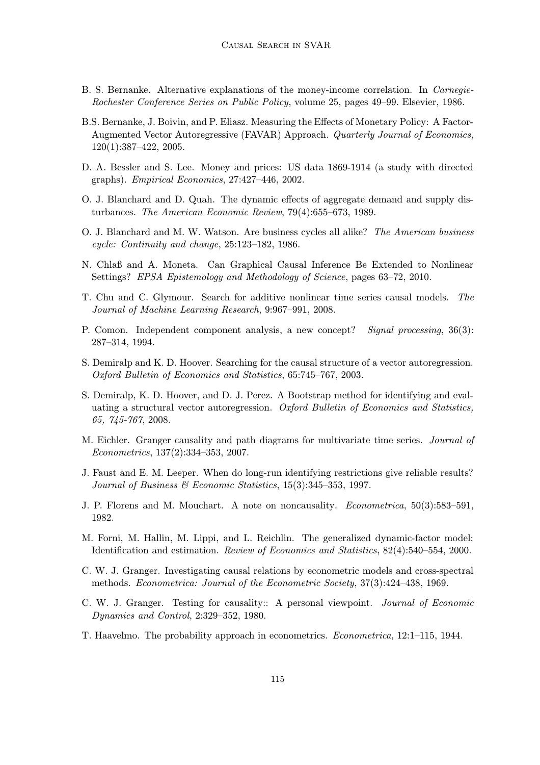- B. S. Bernanke. Alternative explanations of the money-income correlation. In Carnegie-Rochester Conference Series on Public Policy, volume 25, pages 49–99. Elsevier, 1986.
- B.S. Bernanke, J. Boivin, and P. Eliasz. Measuring the Effects of Monetary Policy: A Factor-Augmented Vector Autoregressive (FAVAR) Approach. Quarterly Journal of Economics, 120(1):387–422, 2005.
- D. A. Bessler and S. Lee. Money and prices: US data 1869-1914 (a study with directed graphs). Empirical Economics, 27:427–446, 2002.
- O. J. Blanchard and D. Quah. The dynamic effects of aggregate demand and supply disturbances. The American Economic Review, 79(4):655–673, 1989.
- O. J. Blanchard and M. W. Watson. Are business cycles all alike? The American business cycle: Continuity and change, 25:123–182, 1986.
- N. Chlaß and A. Moneta. Can Graphical Causal Inference Be Extended to Nonlinear Settings? EPSA Epistemology and Methodology of Science, pages 63–72, 2010.
- T. Chu and C. Glymour. Search for additive nonlinear time series causal models. The Journal of Machine Learning Research, 9:967–991, 2008.
- P. Comon. Independent component analysis, a new concept? Signal processing, 36(3): 287–314, 1994.
- S. Demiralp and K. D. Hoover. Searching for the causal structure of a vector autoregression. Oxford Bulletin of Economics and Statistics, 65:745–767, 2003.
- S. Demiralp, K. D. Hoover, and D. J. Perez. A Bootstrap method for identifying and evaluating a structural vector autoregression. Oxford Bulletin of Economics and Statistics, 65, 745-767, 2008.
- M. Eichler. Granger causality and path diagrams for multivariate time series. Journal of Econometrics, 137(2):334–353, 2007.
- J. Faust and E. M. Leeper. When do long-run identifying restrictions give reliable results? Journal of Business & Economic Statistics, 15(3):345–353, 1997.
- J. P. Florens and M. Mouchart. A note on noncausality. Econometrica, 50(3):583–591, 1982.
- M. Forni, M. Hallin, M. Lippi, and L. Reichlin. The generalized dynamic-factor model: Identification and estimation. Review of Economics and Statistics, 82(4):540–554, 2000.
- C. W. J. Granger. Investigating causal relations by econometric models and cross-spectral methods. Econometrica: Journal of the Econometric Society, 37(3):424–438, 1969.
- C. W. J. Granger. Testing for causality:: A personal viewpoint. Journal of Economic Dynamics and Control, 2:329–352, 1980.
- T. Haavelmo. The probability approach in econometrics. Econometrica, 12:1–115, 1944.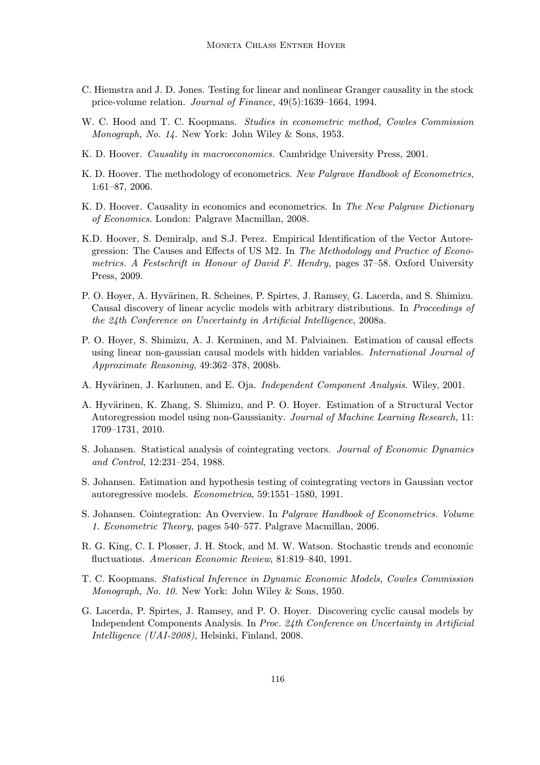- C. Hiemstra and J. D. Jones. Testing for linear and nonlinear Granger causality in the stock price-volume relation. Journal of Finance, 49(5):1639–1664, 1994.
- W. C. Hood and T. C. Koopmans. *Studies in econometric method, Cowles Commission* Monograph, No. 14. New York: John Wiley & Sons, 1953.
- K. D. Hoover. Causality in macroeconomics. Cambridge University Press, 2001.
- K. D. Hoover. The methodology of econometrics. New Palgrave Handbook of Econometrics, 1:61–87, 2006.
- K. D. Hoover. Causality in economics and econometrics. In The New Palgrave Dictionary of Economics. London: Palgrave Macmillan, 2008.
- K.D. Hoover, S. Demiralp, and S.J. Perez. Empirical Identification of the Vector Autoregression: The Causes and Effects of US M2. In The Methodology and Practice of Econometrics. A Festschrift in Honour of David F. Hendry, pages 37–58. Oxford University Press, 2009.
- P. O. Hoyer, A. Hyvärinen, R. Scheines, P. Spirtes, J. Ramsey, G. Lacerda, and S. Shimizu. Causal discovery of linear acyclic models with arbitrary distributions. In Proceedings of the 24th Conference on Uncertainty in Artificial Intelligence, 2008a.
- P. O. Hoyer, S. Shimizu, A. J. Kerminen, and M. Palviainen. Estimation of causal effects using linear non-gaussian causal models with hidden variables. International Journal of Approximate Reasoning, 49:362–378, 2008b.
- A. Hyvärinen, J. Karhunen, and E. Oja. Independent Component Analysis. Wiley, 2001.
- A. Hyvärinen, K. Zhang, S. Shimizu, and P. O. Hover. Estimation of a Structural Vector Autoregression model using non-Gaussianity. Journal of Machine Learning Research, 11: 1709–1731, 2010.
- S. Johansen. Statistical analysis of cointegrating vectors. Journal of Economic Dynamics and Control, 12:231–254, 1988.
- S. Johansen. Estimation and hypothesis testing of cointegrating vectors in Gaussian vector autoregressive models. Econometrica, 59:1551–1580, 1991.
- S. Johansen. Cointegration: An Overview. In Palgrave Handbook of Econometrics. Volume 1. Econometric Theory, pages 540–577. Palgrave Macmillan, 2006.
- R. G. King, C. I. Plosser, J. H. Stock, and M. W. Watson. Stochastic trends and economic fluctuations. American Economic Review, 81:819–840, 1991.
- T. C. Koopmans. Statistical Inference in Dynamic Economic Models, Cowles Commission Monograph, No. 10. New York: John Wiley & Sons, 1950.
- G. Lacerda, P. Spirtes, J. Ramsey, and P. O. Hoyer. Discovering cyclic causal models by Independent Components Analysis. In Proc. 24th Conference on Uncertainty in Artificial Intelligence (UAI-2008), Helsinki, Finland, 2008.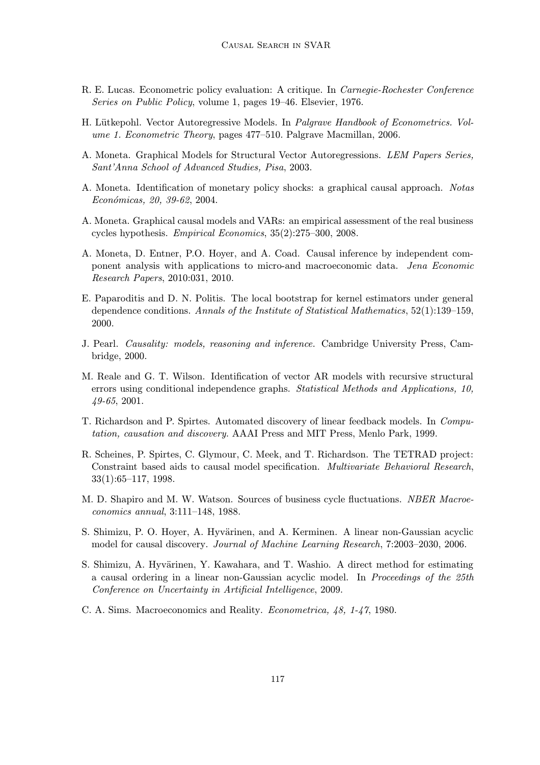- R. E. Lucas. Econometric policy evaluation: A critique. In Carnegie-Rochester Conference Series on Public Policy, volume 1, pages 19–46. Elsevier, 1976.
- H. Lütkepohl. Vector Autoregressive Models. In *Palgrave Handbook of Econometrics. Vol*ume 1. Econometric Theory, pages 477–510. Palgrave Macmillan, 2006.
- A. Moneta. Graphical Models for Structural Vector Autoregressions. LEM Papers Series, Sant'Anna School of Advanced Studies, Pisa, 2003.
- A. Moneta. Identification of monetary policy shocks: a graphical causal approach. Notas Económicas, 20, 39-62, 2004.
- A. Moneta. Graphical causal models and VARs: an empirical assessment of the real business cycles hypothesis. Empirical Economics, 35(2):275–300, 2008.
- A. Moneta, D. Entner, P.O. Hoyer, and A. Coad. Causal inference by independent component analysis with applications to micro-and macroeconomic data. Jena Economic Research Papers, 2010:031, 2010.
- E. Paparoditis and D. N. Politis. The local bootstrap for kernel estimators under general dependence conditions. Annals of the Institute of Statistical Mathematics, 52(1):139–159, 2000.
- J. Pearl. Causality: models, reasoning and inference. Cambridge University Press, Cambridge, 2000.
- M. Reale and G. T. Wilson. Identification of vector AR models with recursive structural errors using conditional independence graphs. Statistical Methods and Applications, 10, 49-65, 2001.
- T. Richardson and P. Spirtes. Automated discovery of linear feedback models. In Computation, causation and discovery. AAAI Press and MIT Press, Menlo Park, 1999.
- R. Scheines, P. Spirtes, C. Glymour, C. Meek, and T. Richardson. The TETRAD project: Constraint based aids to causal model specification. Multivariate Behavioral Research, 33(1):65–117, 1998.
- M. D. Shapiro and M. W. Watson. Sources of business cycle fluctuations. NBER Macroeconomics annual, 3:111–148, 1988.
- S. Shimizu, P. O. Hoyer, A. Hyvärinen, and A. Kerminen. A linear non-Gaussian acyclic model for causal discovery. Journal of Machine Learning Research, 7:2003–2030, 2006.
- S. Shimizu, A. Hyvärinen, Y. Kawahara, and T. Washio. A direct method for estimating a causal ordering in a linear non-Gaussian acyclic model. In Proceedings of the 25th Conference on Uncertainty in Artificial Intelligence, 2009.
- C. A. Sims. Macroeconomics and Reality. Econometrica, 48, 1-47, 1980.